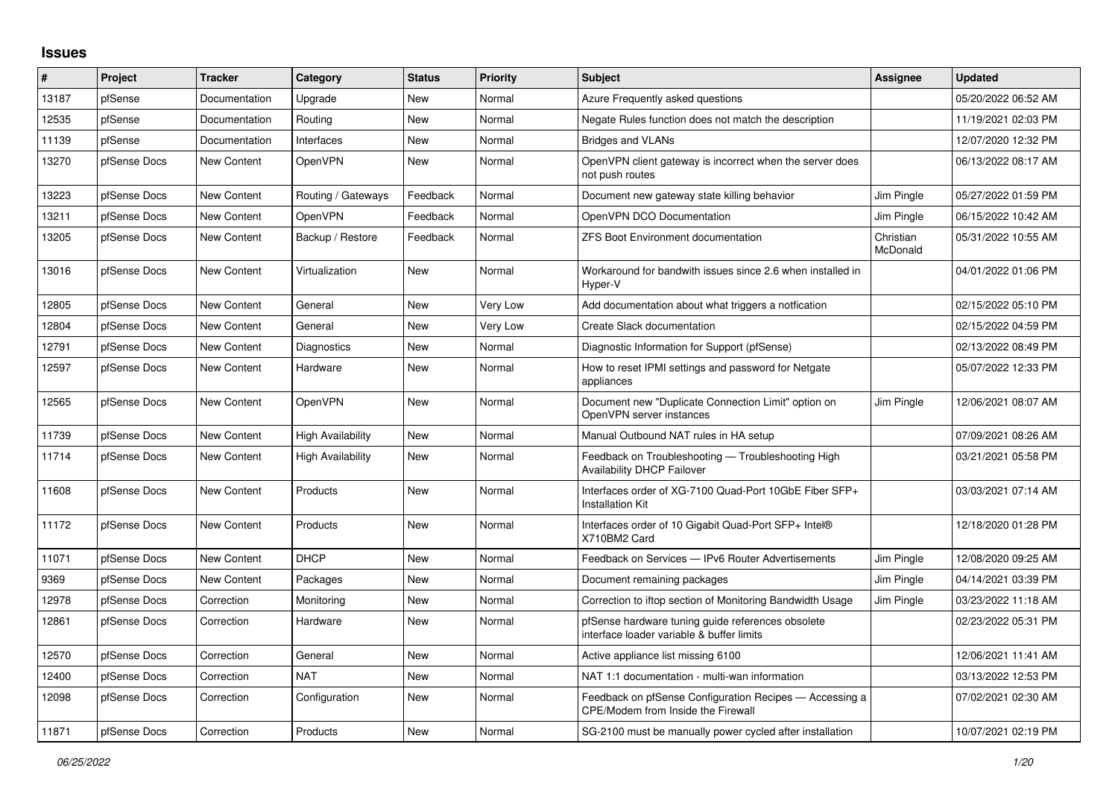## **Issues**

| #     | Project      | <b>Tracker</b>     | Category                 | <b>Status</b> | <b>Priority</b> | <b>Subject</b>                                                                                 | Assignee              | <b>Updated</b>      |
|-------|--------------|--------------------|--------------------------|---------------|-----------------|------------------------------------------------------------------------------------------------|-----------------------|---------------------|
| 13187 | pfSense      | Documentation      | Upgrade                  | New           | Normal          | Azure Frequently asked questions                                                               |                       | 05/20/2022 06:52 AM |
| 12535 | pfSense      | Documentation      | Routing                  | <b>New</b>    | Normal          | Negate Rules function does not match the description                                           |                       | 11/19/2021 02:03 PM |
| 11139 | pfSense      | Documentation      | Interfaces               | New           | Normal          | <b>Bridges and VLANs</b>                                                                       |                       | 12/07/2020 12:32 PM |
| 13270 | pfSense Docs | New Content        | OpenVPN                  | New           | Normal          | OpenVPN client gateway is incorrect when the server does<br>not push routes                    |                       | 06/13/2022 08:17 AM |
| 13223 | pfSense Docs | <b>New Content</b> | Routing / Gateways       | Feedback      | Normal          | Document new gateway state killing behavior                                                    | Jim Pingle            | 05/27/2022 01:59 PM |
| 13211 | pfSense Docs | <b>New Content</b> | OpenVPN                  | Feedback      | Normal          | OpenVPN DCO Documentation                                                                      | Jim Pingle            | 06/15/2022 10:42 AM |
| 13205 | pfSense Docs | <b>New Content</b> | Backup / Restore         | Feedback      | Normal          | ZFS Boot Environment documentation                                                             | Christian<br>McDonald | 05/31/2022 10:55 AM |
| 13016 | pfSense Docs | New Content        | Virtualization           | New           | Normal          | Workaround for bandwith issues since 2.6 when installed in<br>Hyper-V                          |                       | 04/01/2022 01:06 PM |
| 12805 | pfSense Docs | <b>New Content</b> | General                  | <b>New</b>    | Very Low        | Add documentation about what triggers a notfication                                            |                       | 02/15/2022 05:10 PM |
| 12804 | pfSense Docs | <b>New Content</b> | General                  | New           | Very Low        | Create Slack documentation                                                                     |                       | 02/15/2022 04:59 PM |
| 12791 | pfSense Docs | <b>New Content</b> | Diagnostics              | New           | Normal          | Diagnostic Information for Support (pfSense)                                                   |                       | 02/13/2022 08:49 PM |
| 12597 | pfSense Docs | <b>New Content</b> | Hardware                 | New           | Normal          | How to reset IPMI settings and password for Netgate<br>appliances                              |                       | 05/07/2022 12:33 PM |
| 12565 | pfSense Docs | <b>New Content</b> | <b>OpenVPN</b>           | <b>New</b>    | Normal          | Document new "Duplicate Connection Limit" option on<br>OpenVPN server instances                | Jim Pingle            | 12/06/2021 08:07 AM |
| 11739 | pfSense Docs | <b>New Content</b> | High Availability        | <b>New</b>    | Normal          | Manual Outbound NAT rules in HA setup                                                          |                       | 07/09/2021 08:26 AM |
| 11714 | pfSense Docs | <b>New Content</b> | <b>High Availability</b> | New           | Normal          | Feedback on Troubleshooting - Troubleshooting High<br><b>Availability DHCP Failover</b>        |                       | 03/21/2021 05:58 PM |
| 11608 | pfSense Docs | New Content        | <b>Products</b>          | New           | Normal          | Interfaces order of XG-7100 Quad-Port 10GbE Fiber SFP+<br>Installation Kit                     |                       | 03/03/2021 07:14 AM |
| 11172 | pfSense Docs | <b>New Content</b> | <b>Products</b>          | New           | Normal          | Interfaces order of 10 Gigabit Quad-Port SFP+ Intel®<br>X710BM2 Card                           |                       | 12/18/2020 01:28 PM |
| 11071 | pfSense Docs | <b>New Content</b> | <b>DHCP</b>              | <b>New</b>    | Normal          | Feedback on Services - IPv6 Router Advertisements                                              | Jim Pingle            | 12/08/2020 09:25 AM |
| 9369  | pfSense Docs | <b>New Content</b> | Packages                 | New           | Normal          | Document remaining packages                                                                    | Jim Pingle            | 04/14/2021 03:39 PM |
| 12978 | pfSense Docs | Correction         | Monitoring               | New           | Normal          | Correction to iftop section of Monitoring Bandwidth Usage                                      | Jim Pingle            | 03/23/2022 11:18 AM |
| 12861 | pfSense Docs | Correction         | Hardware                 | <b>New</b>    | Normal          | pfSense hardware tuning guide references obsolete<br>interface loader variable & buffer limits |                       | 02/23/2022 05:31 PM |
| 12570 | pfSense Docs | Correction         | General                  | New           | Normal          | Active appliance list missing 6100                                                             |                       | 12/06/2021 11:41 AM |
| 12400 | pfSense Docs | Correction         | <b>NAT</b>               | New           | Normal          | NAT 1:1 documentation - multi-wan information                                                  |                       | 03/13/2022 12:53 PM |
| 12098 | pfSense Docs | Correction         | Configuration            | New           | Normal          | Feedback on pfSense Configuration Recipes - Accessing a<br>CPE/Modem from Inside the Firewall  |                       | 07/02/2021 02:30 AM |
| 11871 | pfSense Docs | Correction         | Products                 | <b>New</b>    | Normal          | SG-2100 must be manually power cycled after installation                                       |                       | 10/07/2021 02:19 PM |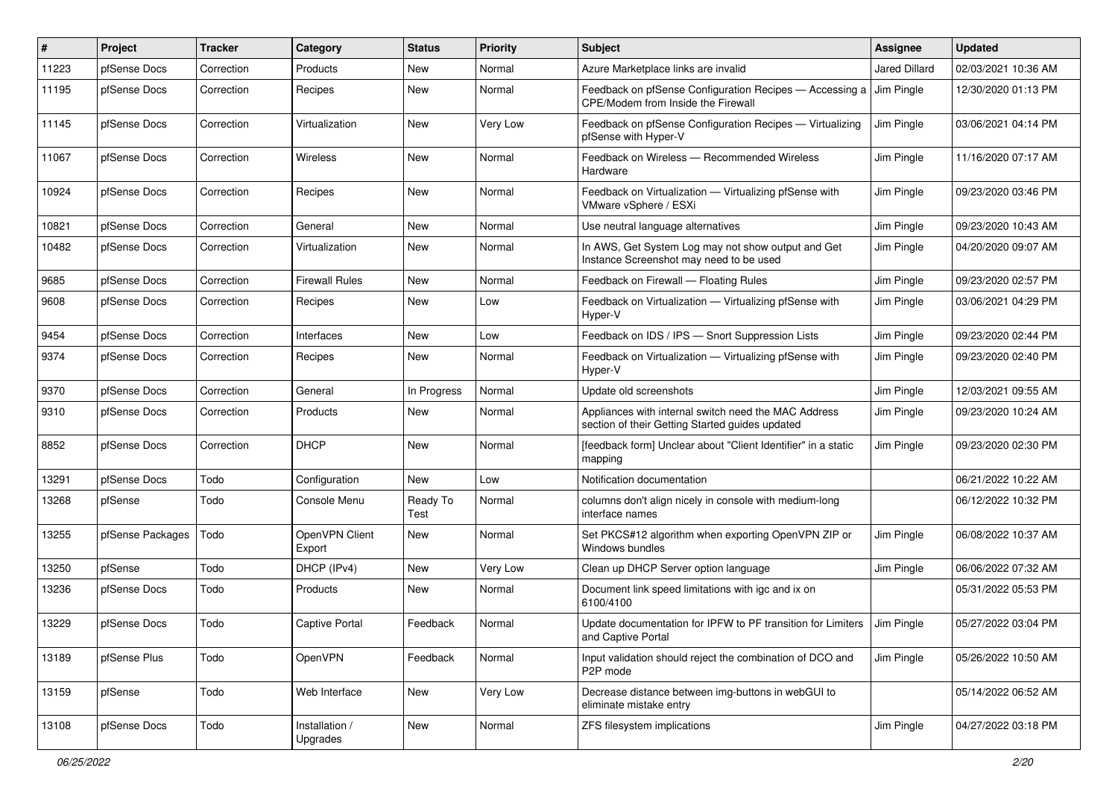| ∦     | <b>Project</b>   | <b>Tracker</b> | Category                   | <b>Status</b>    | <b>Priority</b> | Subject                                                                                                 | Assignee             | <b>Updated</b>      |
|-------|------------------|----------------|----------------------------|------------------|-----------------|---------------------------------------------------------------------------------------------------------|----------------------|---------------------|
| 11223 | pfSense Docs     | Correction     | Products                   | New              | Normal          | Azure Marketplace links are invalid                                                                     | <b>Jared Dillard</b> | 02/03/2021 10:36 AM |
| 11195 | pfSense Docs     | Correction     | Recipes                    | New              | Normal          | Feedback on pfSense Configuration Recipes - Accessing a<br>CPE/Modem from Inside the Firewall           | Jim Pingle           | 12/30/2020 01:13 PM |
| 11145 | pfSense Docs     | Correction     | Virtualization             | New              | Very Low        | Feedback on pfSense Configuration Recipes - Virtualizing<br>pfSense with Hyper-V                        | Jim Pingle           | 03/06/2021 04:14 PM |
| 11067 | pfSense Docs     | Correction     | Wireless                   | New              | Normal          | Feedback on Wireless - Recommended Wireless<br>Hardware                                                 | Jim Pingle           | 11/16/2020 07:17 AM |
| 10924 | pfSense Docs     | Correction     | Recipes                    | New              | Normal          | Feedback on Virtualization - Virtualizing pfSense with<br>VMware vSphere / ESXi                         | Jim Pingle           | 09/23/2020 03:46 PM |
| 10821 | pfSense Docs     | Correction     | General                    | New              | Normal          | Use neutral language alternatives                                                                       | Jim Pingle           | 09/23/2020 10:43 AM |
| 10482 | pfSense Docs     | Correction     | Virtualization             | New              | Normal          | In AWS, Get System Log may not show output and Get<br>Instance Screenshot may need to be used           | Jim Pingle           | 04/20/2020 09:07 AM |
| 9685  | pfSense Docs     | Correction     | <b>Firewall Rules</b>      | New              | Normal          | Feedback on Firewall - Floating Rules                                                                   | Jim Pingle           | 09/23/2020 02:57 PM |
| 9608  | pfSense Docs     | Correction     | Recipes                    | New              | Low             | Feedback on Virtualization - Virtualizing pfSense with<br>Hyper-V                                       | Jim Pingle           | 03/06/2021 04:29 PM |
| 9454  | pfSense Docs     | Correction     | Interfaces                 | New              | Low             | Feedback on IDS / IPS - Snort Suppression Lists                                                         | Jim Pingle           | 09/23/2020 02:44 PM |
| 9374  | pfSense Docs     | Correction     | Recipes                    | New              | Normal          | Feedback on Virtualization - Virtualizing pfSense with<br>Hyper-V                                       | Jim Pingle           | 09/23/2020 02:40 PM |
| 9370  | pfSense Docs     | Correction     | General                    | In Progress      | Normal          | Update old screenshots                                                                                  | Jim Pingle           | 12/03/2021 09:55 AM |
| 9310  | pfSense Docs     | Correction     | Products                   | New              | Normal          | Appliances with internal switch need the MAC Address<br>section of their Getting Started guides updated | Jim Pingle           | 09/23/2020 10:24 AM |
| 8852  | pfSense Docs     | Correction     | <b>DHCP</b>                | New              | Normal          | [feedback form] Unclear about "Client Identifier" in a static<br>mapping                                | Jim Pingle           | 09/23/2020 02:30 PM |
| 13291 | pfSense Docs     | Todo           | Configuration              | New              | Low             | Notification documentation                                                                              |                      | 06/21/2022 10:22 AM |
| 13268 | pfSense          | Todo           | Console Menu               | Ready To<br>Test | Normal          | columns don't align nicely in console with medium-long<br>interface names                               |                      | 06/12/2022 10:32 PM |
| 13255 | pfSense Packages | Todo           | OpenVPN Client<br>Export   | New              | Normal          | Set PKCS#12 algorithm when exporting OpenVPN ZIP or<br>Windows bundles                                  | Jim Pingle           | 06/08/2022 10:37 AM |
| 13250 | pfSense          | Todo           | DHCP (IPv4)                | New              | Very Low        | Clean up DHCP Server option language                                                                    | Jim Pingle           | 06/06/2022 07:32 AM |
| 13236 | pfSense Docs     | Todo           | <b>Products</b>            | New              | Normal          | Document link speed limitations with igc and ix on<br>6100/4100                                         |                      | 05/31/2022 05:53 PM |
| 13229 | pfSense Docs     | Todo           | <b>Captive Portal</b>      | Feedback         | Normal          | Update documentation for IPFW to PF transition for Limiters<br>and Captive Portal                       | Jim Pingle           | 05/27/2022 03:04 PM |
| 13189 | pfSense Plus     | Todo           | OpenVPN                    | Feedback         | Normal          | Input validation should reject the combination of DCO and<br>P2P mode                                   | Jim Pingle           | 05/26/2022 10:50 AM |
| 13159 | pfSense          | Todo           | Web Interface              | New              | Very Low        | Decrease distance between img-buttons in webGUI to<br>eliminate mistake entry                           |                      | 05/14/2022 06:52 AM |
| 13108 | pfSense Docs     | Todo           | Installation /<br>Upgrades | New              | Normal          | ZFS filesystem implications                                                                             | Jim Pingle           | 04/27/2022 03:18 PM |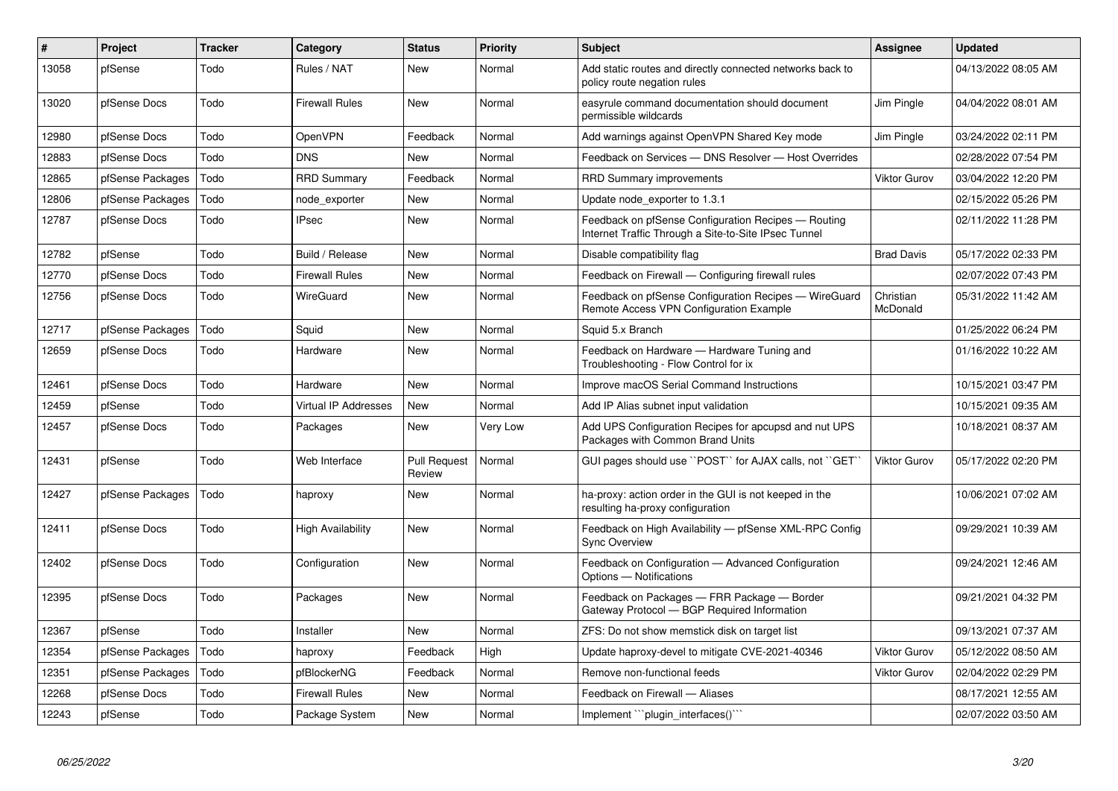| $\vert$ # | Project          | <b>Tracker</b> | Category                    | <b>Status</b>                 | <b>Priority</b> | <b>Subject</b>                                                                                              | <b>Assignee</b>       | <b>Updated</b>      |
|-----------|------------------|----------------|-----------------------------|-------------------------------|-----------------|-------------------------------------------------------------------------------------------------------------|-----------------------|---------------------|
| 13058     | pfSense          | Todo           | Rules / NAT                 | New                           | Normal          | Add static routes and directly connected networks back to<br>policy route negation rules                    |                       | 04/13/2022 08:05 AM |
| 13020     | pfSense Docs     | Todo           | <b>Firewall Rules</b>       | <b>New</b>                    | Normal          | easyrule command documentation should document<br>permissible wildcards                                     | Jim Pingle            | 04/04/2022 08:01 AM |
| 12980     | pfSense Docs     | Todo           | OpenVPN                     | Feedback                      | Normal          | Add warnings against OpenVPN Shared Key mode                                                                | Jim Pingle            | 03/24/2022 02:11 PM |
| 12883     | pfSense Docs     | Todo           | <b>DNS</b>                  | New                           | Normal          | Feedback on Services - DNS Resolver - Host Overrides                                                        |                       | 02/28/2022 07:54 PM |
| 12865     | pfSense Packages | Todo           | <b>RRD Summary</b>          | Feedback                      | Normal          | <b>RRD Summary improvements</b>                                                                             | Viktor Gurov          | 03/04/2022 12:20 PM |
| 12806     | pfSense Packages | Todo           | node exporter               | New                           | Normal          | Update node exporter to 1.3.1                                                                               |                       | 02/15/2022 05:26 PM |
| 12787     | pfSense Docs     | Todo           | <b>IPsec</b>                | New                           | Normal          | Feedback on pfSense Configuration Recipes - Routing<br>Internet Traffic Through a Site-to-Site IPsec Tunnel |                       | 02/11/2022 11:28 PM |
| 12782     | pfSense          | Todo           | Build / Release             | New                           | Normal          | Disable compatibility flag                                                                                  | <b>Brad Davis</b>     | 05/17/2022 02:33 PM |
| 12770     | pfSense Docs     | Todo           | <b>Firewall Rules</b>       | New                           | Normal          | Feedback on Firewall — Configuring firewall rules                                                           |                       | 02/07/2022 07:43 PM |
| 12756     | pfSense Docs     | Todo           | <b>WireGuard</b>            | <b>New</b>                    | Normal          | Feedback on pfSense Configuration Recipes - WireGuard<br>Remote Access VPN Configuration Example            | Christian<br>McDonald | 05/31/2022 11:42 AM |
| 12717     | pfSense Packages | Todo           | Squid                       | New                           | Normal          | Squid 5.x Branch                                                                                            |                       | 01/25/2022 06:24 PM |
| 12659     | pfSense Docs     | Todo           | Hardware                    | New                           | Normal          | Feedback on Hardware - Hardware Tuning and<br>Troubleshooting - Flow Control for ix                         |                       | 01/16/2022 10:22 AM |
| 12461     | pfSense Docs     | Todo           | Hardware                    | <b>New</b>                    | Normal          | Improve macOS Serial Command Instructions                                                                   |                       | 10/15/2021 03:47 PM |
| 12459     | pfSense          | Todo           | <b>Virtual IP Addresses</b> | <b>New</b>                    | Normal          | Add IP Alias subnet input validation                                                                        |                       | 10/15/2021 09:35 AM |
| 12457     | pfSense Docs     | Todo           | Packages                    | New                           | Very Low        | Add UPS Configuration Recipes for apcupsd and nut UPS<br>Packages with Common Brand Units                   |                       | 10/18/2021 08:37 AM |
| 12431     | pfSense          | Todo           | Web Interface               | <b>Pull Request</b><br>Review | Normal          | GUI pages should use "POST" for AJAX calls, not "GET"                                                       | <b>Viktor Gurov</b>   | 05/17/2022 02:20 PM |
| 12427     | pfSense Packages | Todo           | haproxy                     | New                           | Normal          | ha-proxy: action order in the GUI is not keeped in the<br>resulting ha-proxy configuration                  |                       | 10/06/2021 07:02 AM |
| 12411     | pfSense Docs     | Todo           | <b>High Availability</b>    | <b>New</b>                    | Normal          | Feedback on High Availability - pfSense XML-RPC Config<br><b>Sync Overview</b>                              |                       | 09/29/2021 10:39 AM |
| 12402     | pfSense Docs     | Todo           | Configuration               | <b>New</b>                    | Normal          | Feedback on Configuration - Advanced Configuration<br>Options - Notifications                               |                       | 09/24/2021 12:46 AM |
| 12395     | pfSense Docs     | Todo           | Packages                    | New                           | Normal          | Feedback on Packages - FRR Package - Border<br>Gateway Protocol - BGP Required Information                  |                       | 09/21/2021 04:32 PM |
| 12367     | pfSense          | Todo           | Installer                   | <b>New</b>                    | Normal          | ZFS: Do not show memstick disk on target list                                                               |                       | 09/13/2021 07:37 AM |
| 12354     | pfSense Packages | Todo           | haproxy                     | Feedback                      | High            | Update haproxy-devel to mitigate CVE-2021-40346                                                             | <b>Viktor Gurov</b>   | 05/12/2022 08:50 AM |
| 12351     | pfSense Packages | Todo           | pfBlockerNG                 | Feedback                      | Normal          | Remove non-functional feeds                                                                                 | <b>Viktor Gurov</b>   | 02/04/2022 02:29 PM |
| 12268     | pfSense Docs     | Todo           | <b>Firewall Rules</b>       | New                           | Normal          | Feedback on Firewall - Aliases                                                                              |                       | 08/17/2021 12:55 AM |
| 12243     | pfSense          | Todo           | Package System              | <b>New</b>                    | Normal          | Implement "plugin interfaces()"                                                                             |                       | 02/07/2022 03:50 AM |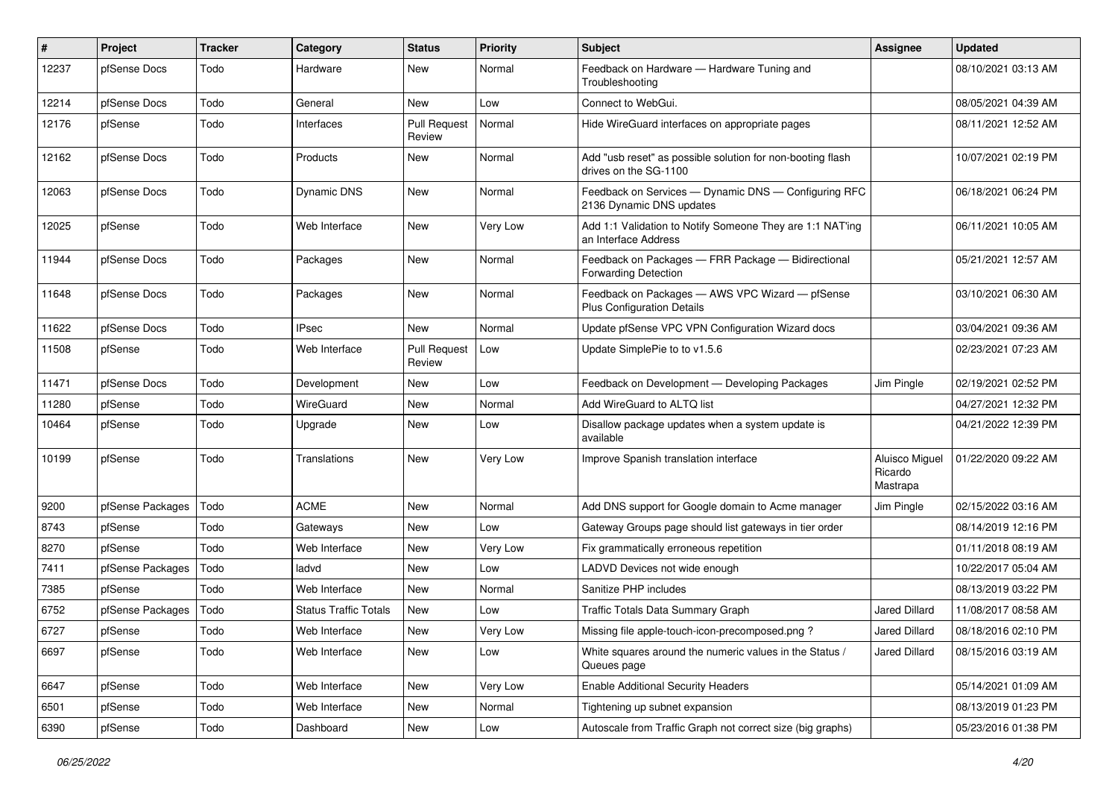| #     | Project          | <b>Tracker</b> | Category                     | <b>Status</b>                 | <b>Priority</b> | <b>Subject</b>                                                                       | Assignee                              | <b>Updated</b>      |
|-------|------------------|----------------|------------------------------|-------------------------------|-----------------|--------------------------------------------------------------------------------------|---------------------------------------|---------------------|
| 12237 | pfSense Docs     | Todo           | Hardware                     | New                           | Normal          | Feedback on Hardware - Hardware Tuning and<br>Troubleshooting                        |                                       | 08/10/2021 03:13 AM |
| 12214 | pfSense Docs     | Todo           | General                      | New                           | Low             | Connect to WebGui.                                                                   |                                       | 08/05/2021 04:39 AM |
| 12176 | pfSense          | Todo           | Interfaces                   | <b>Pull Request</b><br>Review | Normal          | Hide WireGuard interfaces on appropriate pages                                       |                                       | 08/11/2021 12:52 AM |
| 12162 | pfSense Docs     | Todo           | Products                     | New                           | Normal          | Add "usb reset" as possible solution for non-booting flash<br>drives on the SG-1100  |                                       | 10/07/2021 02:19 PM |
| 12063 | pfSense Docs     | Todo           | <b>Dynamic DNS</b>           | New                           | Normal          | Feedback on Services - Dynamic DNS - Configuring RFC<br>2136 Dynamic DNS updates     |                                       | 06/18/2021 06:24 PM |
| 12025 | pfSense          | Todo           | Web Interface                | New                           | Very Low        | Add 1:1 Validation to Notify Someone They are 1:1 NAT'ing<br>an Interface Address    |                                       | 06/11/2021 10:05 AM |
| 11944 | pfSense Docs     | Todo           | Packages                     | New                           | Normal          | Feedback on Packages - FRR Package - Bidirectional<br><b>Forwarding Detection</b>    |                                       | 05/21/2021 12:57 AM |
| 11648 | pfSense Docs     | Todo           | Packages                     | New                           | Normal          | Feedback on Packages - AWS VPC Wizard - pfSense<br><b>Plus Configuration Details</b> |                                       | 03/10/2021 06:30 AM |
| 11622 | pfSense Docs     | Todo           | <b>IPsec</b>                 | New                           | Normal          | Update pfSense VPC VPN Configuration Wizard docs                                     |                                       | 03/04/2021 09:36 AM |
| 11508 | pfSense          | Todo           | Web Interface                | <b>Pull Request</b><br>Review | Low             | Update SimplePie to to v1.5.6                                                        |                                       | 02/23/2021 07:23 AM |
| 11471 | pfSense Docs     | Todo           | Development                  | New                           | Low             | Feedback on Development - Developing Packages                                        | Jim Pingle                            | 02/19/2021 02:52 PM |
| 11280 | pfSense          | Todo           | WireGuard                    | New                           | Normal          | Add WireGuard to ALTQ list                                                           |                                       | 04/27/2021 12:32 PM |
| 10464 | pfSense          | Todo           | Upgrade                      | New                           | Low             | Disallow package updates when a system update is<br>available                        |                                       | 04/21/2022 12:39 PM |
| 10199 | pfSense          | Todo           | Translations                 | New                           | Very Low        | Improve Spanish translation interface                                                | Aluisco Miguel<br>Ricardo<br>Mastrapa | 01/22/2020 09:22 AM |
| 9200  | pfSense Packages | Todo           | <b>ACME</b>                  | New                           | Normal          | Add DNS support for Google domain to Acme manager                                    | Jim Pingle                            | 02/15/2022 03:16 AM |
| 8743  | pfSense          | Todo           | Gateways                     | New                           | Low             | Gateway Groups page should list gateways in tier order                               |                                       | 08/14/2019 12:16 PM |
| 8270  | pfSense          | Todo           | Web Interface                | New                           | Very Low        | Fix grammatically erroneous repetition                                               |                                       | 01/11/2018 08:19 AM |
| 7411  | pfSense Packages | Todo           | ladvd                        | New                           | Low             | LADVD Devices not wide enough                                                        |                                       | 10/22/2017 05:04 AM |
| 7385  | pfSense          | Todo           | Web Interface                | New                           | Normal          | Sanitize PHP includes                                                                |                                       | 08/13/2019 03:22 PM |
| 6752  | pfSense Packages | Todo           | <b>Status Traffic Totals</b> | New                           | Low             | <b>Traffic Totals Data Summary Graph</b>                                             | Jared Dillard                         | 11/08/2017 08:58 AM |
| 6727  | pfSense          | Todo           | Web Interface                | New                           | Very Low        | Missing file apple-touch-icon-precomposed.png?                                       | Jared Dillard                         | 08/18/2016 02:10 PM |
| 6697  | pfSense          | Todo           | Web Interface                | New                           | Low             | White squares around the numeric values in the Status /<br>Queues page               | Jared Dillard                         | 08/15/2016 03:19 AM |
| 6647  | pfSense          | Todo           | Web Interface                | New                           | Very Low        | <b>Enable Additional Security Headers</b>                                            |                                       | 05/14/2021 01:09 AM |
| 6501  | pfSense          | Todo           | Web Interface                | New                           | Normal          | Tightening up subnet expansion                                                       |                                       | 08/13/2019 01:23 PM |
| 6390  | pfSense          | Todo           | Dashboard                    | New                           | Low             | Autoscale from Traffic Graph not correct size (big graphs)                           |                                       | 05/23/2016 01:38 PM |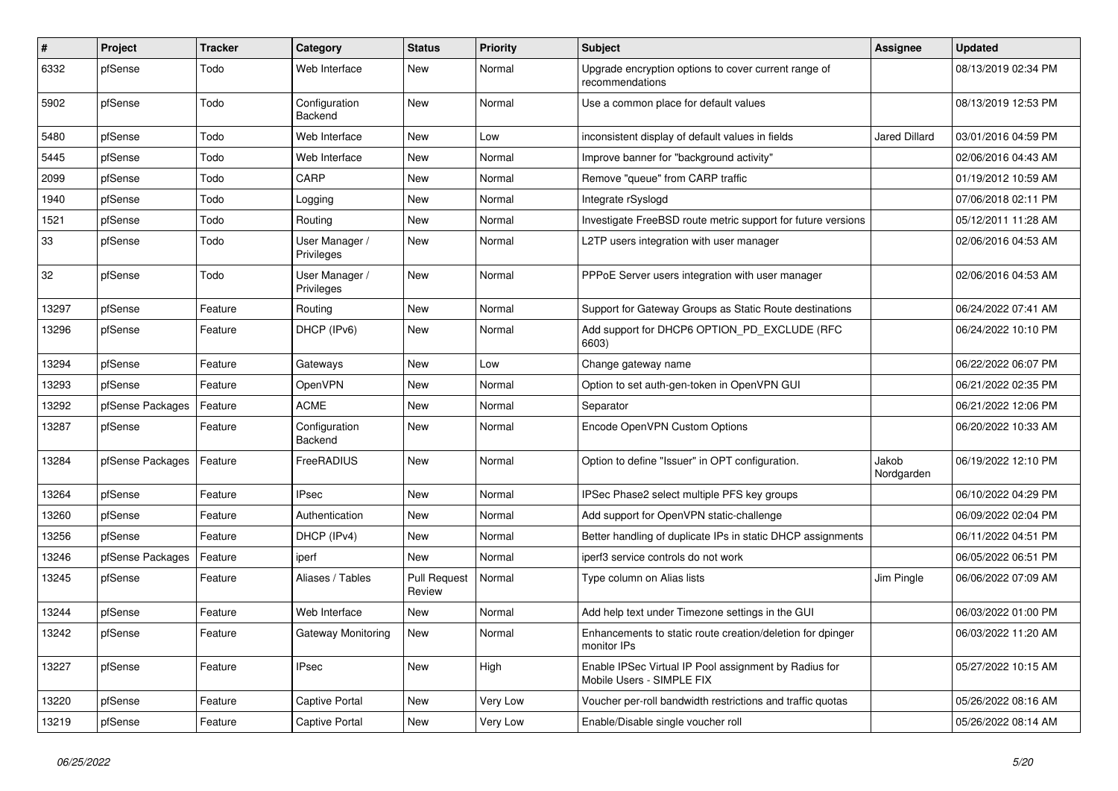| $\sharp$ | <b>Project</b>   | <b>Tracker</b> | Category                        | <b>Status</b>                 | <b>Priority</b> | <b>Subject</b>                                                                     | <b>Assignee</b>      | <b>Updated</b>      |
|----------|------------------|----------------|---------------------------------|-------------------------------|-----------------|------------------------------------------------------------------------------------|----------------------|---------------------|
| 6332     | pfSense          | Todo           | Web Interface                   | New                           | Normal          | Upgrade encryption options to cover current range of<br>recommendations            |                      | 08/13/2019 02:34 PM |
| 5902     | pfSense          | Todo           | Configuration<br><b>Backend</b> | New                           | Normal          | Use a common place for default values                                              |                      | 08/13/2019 12:53 PM |
| 5480     | pfSense          | Todo           | Web Interface                   | <b>New</b>                    | Low             | inconsistent display of default values in fields                                   | <b>Jared Dillard</b> | 03/01/2016 04:59 PM |
| 5445     | pfSense          | Todo           | Web Interface                   | New                           | Normal          | Improve banner for "background activity"                                           |                      | 02/06/2016 04:43 AM |
| 2099     | pfSense          | Todo           | CARP                            | New                           | Normal          | Remove "queue" from CARP traffic                                                   |                      | 01/19/2012 10:59 AM |
| 1940     | pfSense          | Todo           | Logging                         | <b>New</b>                    | Normal          | Integrate rSyslogd                                                                 |                      | 07/06/2018 02:11 PM |
| 1521     | pfSense          | Todo           | Routing                         | New                           | Normal          | Investigate FreeBSD route metric support for future versions                       |                      | 05/12/2011 11:28 AM |
| 33       | pfSense          | Todo           | User Manager /<br>Privileges    | New                           | Normal          | L2TP users integration with user manager                                           |                      | 02/06/2016 04:53 AM |
| 32       | pfSense          | Todo           | User Manager /<br>Privileges    | New                           | Normal          | PPPoE Server users integration with user manager                                   |                      | 02/06/2016 04:53 AM |
| 13297    | pfSense          | Feature        | Routing                         | New                           | Normal          | Support for Gateway Groups as Static Route destinations                            |                      | 06/24/2022 07:41 AM |
| 13296    | pfSense          | Feature        | DHCP (IPv6)                     | New                           | Normal          | Add support for DHCP6 OPTION_PD_EXCLUDE (RFC<br>6603)                              |                      | 06/24/2022 10:10 PM |
| 13294    | pfSense          | Feature        | Gateways                        | New                           | Low             | Change gateway name                                                                |                      | 06/22/2022 06:07 PM |
| 13293    | pfSense          | Feature        | OpenVPN                         | New                           | Normal          | Option to set auth-gen-token in OpenVPN GUI                                        |                      | 06/21/2022 02:35 PM |
| 13292    | pfSense Packages | Feature        | <b>ACME</b>                     | New                           | Normal          | Separator                                                                          |                      | 06/21/2022 12:06 PM |
| 13287    | pfSense          | Feature        | Configuration<br><b>Backend</b> | New                           | Normal          | Encode OpenVPN Custom Options                                                      |                      | 06/20/2022 10:33 AM |
| 13284    | pfSense Packages | Feature        | FreeRADIUS                      | <b>New</b>                    | Normal          | Option to define "Issuer" in OPT configuration.                                    | Jakob<br>Nordgarden  | 06/19/2022 12:10 PM |
| 13264    | pfSense          | Feature        | <b>IPsec</b>                    | <b>New</b>                    | Normal          | IPSec Phase2 select multiple PFS key groups                                        |                      | 06/10/2022 04:29 PM |
| 13260    | pfSense          | Feature        | Authentication                  | <b>New</b>                    | Normal          | Add support for OpenVPN static-challenge                                           |                      | 06/09/2022 02:04 PM |
| 13256    | pfSense          | Feature        | DHCP (IPv4)                     | New                           | Normal          | Better handling of duplicate IPs in static DHCP assignments                        |                      | 06/11/2022 04:51 PM |
| 13246    | pfSense Packages | Feature        | iperf                           | New                           | Normal          | iperf3 service controls do not work                                                |                      | 06/05/2022 06:51 PM |
| 13245    | pfSense          | Feature        | Aliases / Tables                | <b>Pull Request</b><br>Review | Normal          | Type column on Alias lists                                                         | Jim Pingle           | 06/06/2022 07:09 AM |
| 13244    | pfSense          | Feature        | Web Interface                   | New                           | Normal          | Add help text under Timezone settings in the GUI                                   |                      | 06/03/2022 01:00 PM |
| 13242    | pfSense          | Feature        | Gateway Monitoring              | New                           | Normal          | Enhancements to static route creation/deletion for dpinger<br>monitor IPs          |                      | 06/03/2022 11:20 AM |
| 13227    | pfSense          | Feature        | <b>IPsec</b>                    | New                           | High            | Enable IPSec Virtual IP Pool assignment by Radius for<br>Mobile Users - SIMPLE FIX |                      | 05/27/2022 10:15 AM |
| 13220    | pfSense          | Feature        | Captive Portal                  | <b>New</b>                    | Very Low        | Voucher per-roll bandwidth restrictions and traffic quotas                         |                      | 05/26/2022 08:16 AM |
| 13219    | pfSense          | Feature        | Captive Portal                  | New                           | Very Low        | Enable/Disable single voucher roll                                                 |                      | 05/26/2022 08:14 AM |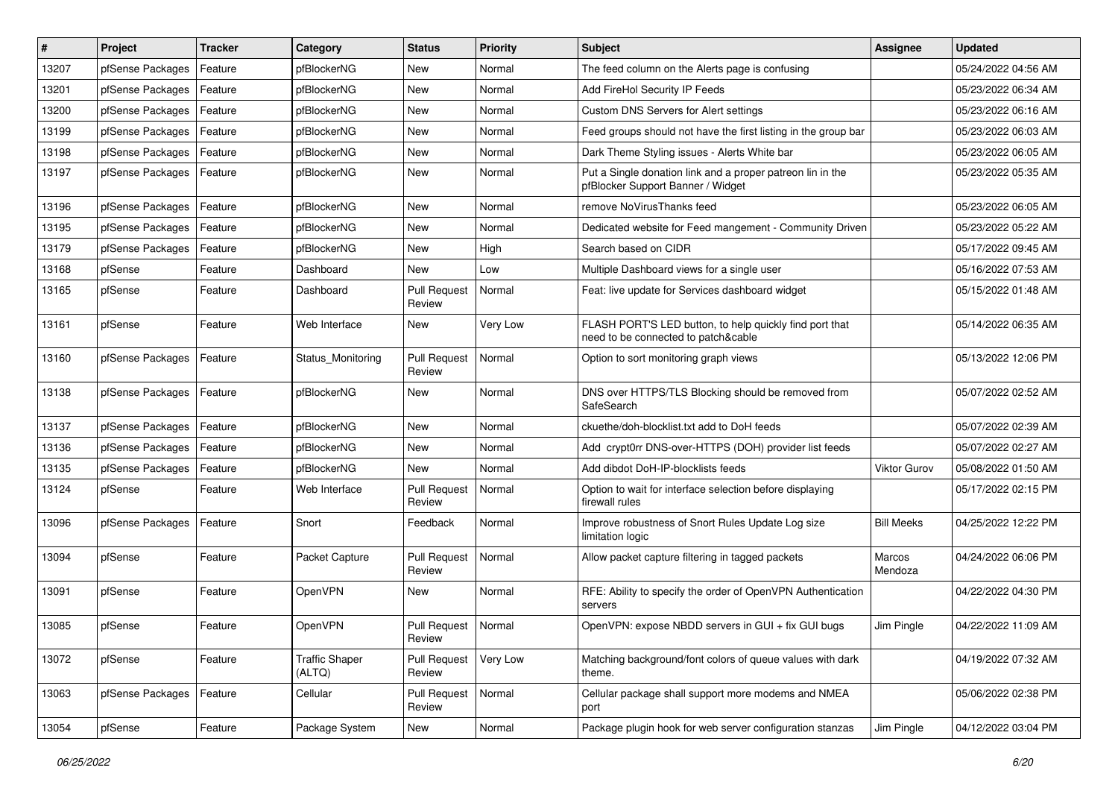| #     | Project          | <b>Tracker</b> | Category                        | <b>Status</b>                   | <b>Priority</b> | <b>Subject</b>                                                                                  | Assignee            | <b>Updated</b>      |
|-------|------------------|----------------|---------------------------------|---------------------------------|-----------------|-------------------------------------------------------------------------------------------------|---------------------|---------------------|
| 13207 | pfSense Packages | Feature        | pfBlockerNG                     | New                             | Normal          | The feed column on the Alerts page is confusing                                                 |                     | 05/24/2022 04:56 AM |
| 13201 | pfSense Packages | Feature        | pfBlockerNG                     | <b>New</b>                      | Normal          | Add FireHol Security IP Feeds                                                                   |                     | 05/23/2022 06:34 AM |
| 13200 | pfSense Packages | Feature        | pfBlockerNG                     | New                             | Normal          | Custom DNS Servers for Alert settings                                                           |                     | 05/23/2022 06:16 AM |
| 13199 | pfSense Packages | Feature        | pfBlockerNG                     | New                             | Normal          | Feed groups should not have the first listing in the group bar                                  |                     | 05/23/2022 06:03 AM |
| 13198 | pfSense Packages | Feature        | pfBlockerNG                     | New                             | Normal          | Dark Theme Styling issues - Alerts White bar                                                    |                     | 05/23/2022 06:05 AM |
| 13197 | pfSense Packages | Feature        | pfBlockerNG                     | New                             | Normal          | Put a Single donation link and a proper patreon lin in the<br>pfBlocker Support Banner / Widget |                     | 05/23/2022 05:35 AM |
| 13196 | pfSense Packages | Feature        | pfBlockerNG                     | New                             | Normal          | remove NoVirusThanks feed                                                                       |                     | 05/23/2022 06:05 AM |
| 13195 | pfSense Packages | Feature        | pfBlockerNG                     | New                             | Normal          | Dedicated website for Feed mangement - Community Driven                                         |                     | 05/23/2022 05:22 AM |
| 13179 | pfSense Packages | Feature        | pfBlockerNG                     | <b>New</b>                      | High            | Search based on CIDR                                                                            |                     | 05/17/2022 09:45 AM |
| 13168 | pfSense          | Feature        | Dashboard                       | New                             | Low             | Multiple Dashboard views for a single user                                                      |                     | 05/16/2022 07:53 AM |
| 13165 | pfSense          | Feature        | Dashboard                       | <b>Pull Request</b><br>Review   | Normal          | Feat: live update for Services dashboard widget                                                 |                     | 05/15/2022 01:48 AM |
| 13161 | pfSense          | Feature        | Web Interface                   | New                             | Very Low        | FLASH PORT'S LED button, to help quickly find port that<br>need to be connected to patch&cable  |                     | 05/14/2022 06:35 AM |
| 13160 | pfSense Packages | Feature        | Status Monitoring               | <b>Pull Request</b><br>Review   | Normal          | Option to sort monitoring graph views                                                           |                     | 05/13/2022 12:06 PM |
| 13138 | pfSense Packages | Feature        | pfBlockerNG                     | <b>New</b>                      | Normal          | DNS over HTTPS/TLS Blocking should be removed from<br>SafeSearch                                |                     | 05/07/2022 02:52 AM |
| 13137 | pfSense Packages | Feature        | pfBlockerNG                     | New                             | Normal          | ckuethe/doh-blocklist.txt add to DoH feeds                                                      |                     | 05/07/2022 02:39 AM |
| 13136 | pfSense Packages | Feature        | pfBlockerNG                     | New                             | Normal          | Add crypt0rr DNS-over-HTTPS (DOH) provider list feeds                                           |                     | 05/07/2022 02:27 AM |
| 13135 | pfSense Packages | Feature        | pfBlockerNG                     | New                             | Normal          | Add dibdot DoH-IP-blocklists feeds                                                              | <b>Viktor Gurov</b> | 05/08/2022 01:50 AM |
| 13124 | pfSense          | Feature        | Web Interface                   | <b>Pull Request</b><br>Review   | Normal          | Option to wait for interface selection before displaying<br>firewall rules                      |                     | 05/17/2022 02:15 PM |
| 13096 | pfSense Packages | Feature        | Snort                           | Feedback                        | Normal          | Improve robustness of Snort Rules Update Log size<br>limitation logic                           | <b>Bill Meeks</b>   | 04/25/2022 12:22 PM |
| 13094 | pfSense          | Feature        | Packet Capture                  | <b>Pull Request</b><br>Review   | Normal          | Allow packet capture filtering in tagged packets                                                | Marcos<br>Mendoza   | 04/24/2022 06:06 PM |
| 13091 | pfSense          | Feature        | <b>OpenVPN</b>                  | New                             | Normal          | RFE: Ability to specify the order of OpenVPN Authentication<br>servers                          |                     | 04/22/2022 04:30 PM |
| 13085 | pfSense          | Feature        | <b>OpenVPN</b>                  | Pull Request   Normal<br>Review |                 | OpenVPN: expose NBDD servers in GUI + fix GUI bugs                                              | Jim Pingle          | 04/22/2022 11:09 AM |
| 13072 | pfSense          | Feature        | <b>Traffic Shaper</b><br>(ALTQ) | <b>Pull Request</b><br>Review   | Very Low        | Matching background/font colors of queue values with dark<br>theme.                             |                     | 04/19/2022 07:32 AM |
| 13063 | pfSense Packages | Feature        | Cellular                        | <b>Pull Request</b><br>Review   | Normal          | Cellular package shall support more modems and NMEA<br>port                                     |                     | 05/06/2022 02:38 PM |
| 13054 | pfSense          | Feature        | Package System                  | New                             | Normal          | Package plugin hook for web server configuration stanzas                                        | Jim Pingle          | 04/12/2022 03:04 PM |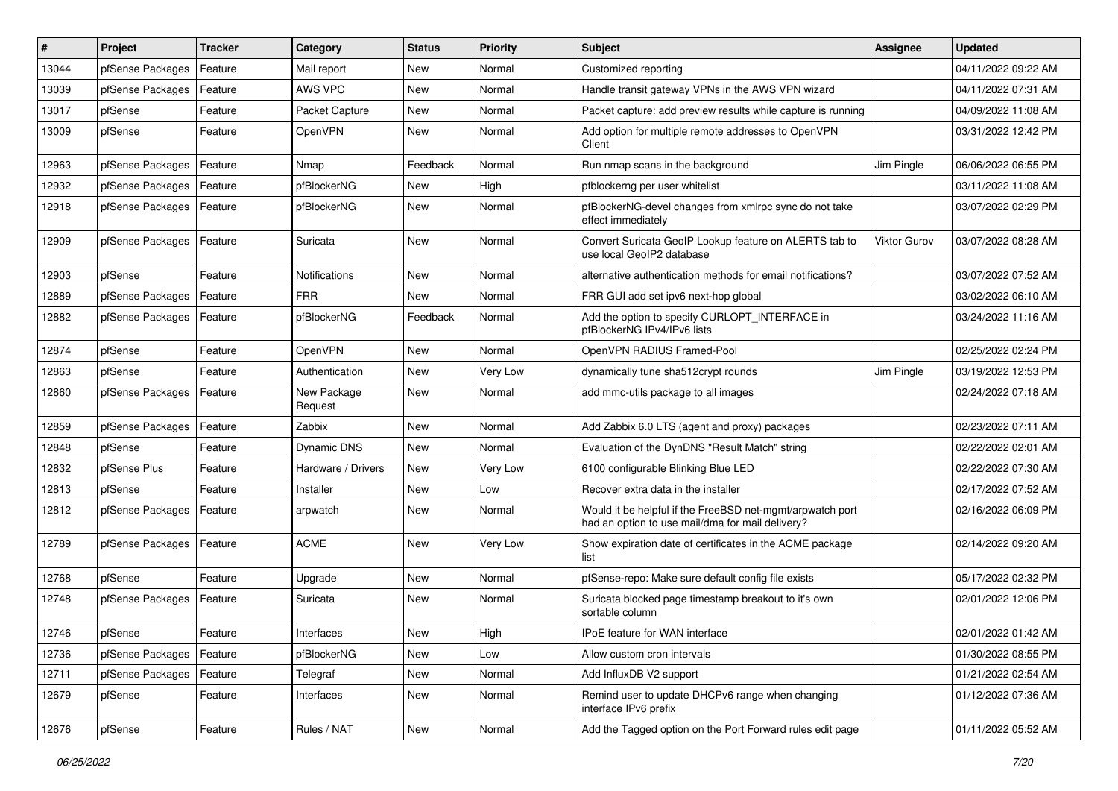| ∦     | Project          | <b>Tracker</b> | Category               | <b>Status</b> | <b>Priority</b> | Subject                                                                                                       | <b>Assignee</b>     | <b>Updated</b>      |
|-------|------------------|----------------|------------------------|---------------|-----------------|---------------------------------------------------------------------------------------------------------------|---------------------|---------------------|
| 13044 | pfSense Packages | Feature        | Mail report            | New           | Normal          | Customized reporting                                                                                          |                     | 04/11/2022 09:22 AM |
| 13039 | pfSense Packages | Feature        | AWS VPC                | New           | Normal          | Handle transit gateway VPNs in the AWS VPN wizard                                                             |                     | 04/11/2022 07:31 AM |
| 13017 | pfSense          | Feature        | Packet Capture         | New           | Normal          | Packet capture: add preview results while capture is running                                                  |                     | 04/09/2022 11:08 AM |
| 13009 | pfSense          | Feature        | OpenVPN                | New           | Normal          | Add option for multiple remote addresses to OpenVPN<br>Client                                                 |                     | 03/31/2022 12:42 PM |
| 12963 | pfSense Packages | Feature        | Nmap                   | Feedback      | Normal          | Run nmap scans in the background                                                                              | Jim Pingle          | 06/06/2022 06:55 PM |
| 12932 | pfSense Packages | Feature        | pfBlockerNG            | New           | High            | pfblockerng per user whitelist                                                                                |                     | 03/11/2022 11:08 AM |
| 12918 | pfSense Packages | Feature        | pfBlockerNG            | New           | Normal          | pfBlockerNG-devel changes from xmlrpc sync do not take<br>effect immediately                                  |                     | 03/07/2022 02:29 PM |
| 12909 | pfSense Packages | Feature        | Suricata               | New           | Normal          | Convert Suricata GeoIP Lookup feature on ALERTS tab to<br>use local GeoIP2 database                           | <b>Viktor Gurov</b> | 03/07/2022 08:28 AM |
| 12903 | pfSense          | Feature        | Notifications          | New           | Normal          | alternative authentication methods for email notifications?                                                   |                     | 03/07/2022 07:52 AM |
| 12889 | pfSense Packages | Feature        | <b>FRR</b>             | New           | Normal          | FRR GUI add set ipv6 next-hop global                                                                          |                     | 03/02/2022 06:10 AM |
| 12882 | pfSense Packages | Feature        | pfBlockerNG            | Feedback      | Normal          | Add the option to specify CURLOPT_INTERFACE in<br>pfBlockerNG IPv4/IPv6 lists                                 |                     | 03/24/2022 11:16 AM |
| 12874 | pfSense          | Feature        | OpenVPN                | New           | Normal          | OpenVPN RADIUS Framed-Pool                                                                                    |                     | 02/25/2022 02:24 PM |
| 12863 | pfSense          | Feature        | Authentication         | New           | Very Low        | dynamically tune sha512crypt rounds                                                                           | Jim Pingle          | 03/19/2022 12:53 PM |
| 12860 | pfSense Packages | Feature        | New Package<br>Request | New           | Normal          | add mmc-utils package to all images                                                                           |                     | 02/24/2022 07:18 AM |
| 12859 | pfSense Packages | Feature        | Zabbix                 | New           | Normal          | Add Zabbix 6.0 LTS (agent and proxy) packages                                                                 |                     | 02/23/2022 07:11 AM |
| 12848 | pfSense          | Feature        | <b>Dynamic DNS</b>     | New           | Normal          | Evaluation of the DynDNS "Result Match" string                                                                |                     | 02/22/2022 02:01 AM |
| 12832 | pfSense Plus     | Feature        | Hardware / Drivers     | New           | Very Low        | 6100 configurable Blinking Blue LED                                                                           |                     | 02/22/2022 07:30 AM |
| 12813 | pfSense          | Feature        | Installer              | New           | Low             | Recover extra data in the installer                                                                           |                     | 02/17/2022 07:52 AM |
| 12812 | pfSense Packages | Feature        | arpwatch               | New           | Normal          | Would it be helpful if the FreeBSD net-mgmt/arpwatch port<br>had an option to use mail/dma for mail delivery? |                     | 02/16/2022 06:09 PM |
| 12789 | pfSense Packages | Feature        | <b>ACME</b>            | New           | Very Low        | Show expiration date of certificates in the ACME package<br>list                                              |                     | 02/14/2022 09:20 AM |
| 12768 | pfSense          | Feature        | Upgrade                | New           | Normal          | pfSense-repo: Make sure default config file exists                                                            |                     | 05/17/2022 02:32 PM |
| 12748 | pfSense Packages | Feature        | Suricata               | New           | Normal          | Suricata blocked page timestamp breakout to it's own<br>sortable column                                       |                     | 02/01/2022 12:06 PM |
| 12746 | pfSense          | I Feature      | Interfaces             | New           | High            | IPoE feature for WAN interface                                                                                |                     | 02/01/2022 01:42 AM |
| 12736 | pfSense Packages | Feature        | pfBlockerNG            | New           | Low             | Allow custom cron intervals                                                                                   |                     | 01/30/2022 08:55 PM |
| 12711 | pfSense Packages | Feature        | Telegraf               | New           | Normal          | Add InfluxDB V2 support                                                                                       |                     | 01/21/2022 02:54 AM |
| 12679 | pfSense          | Feature        | Interfaces             | New           | Normal          | Remind user to update DHCPv6 range when changing<br>interface IPv6 prefix                                     |                     | 01/12/2022 07:36 AM |
| 12676 | pfSense          | Feature        | Rules / NAT            | New           | Normal          | Add the Tagged option on the Port Forward rules edit page                                                     |                     | 01/11/2022 05:52 AM |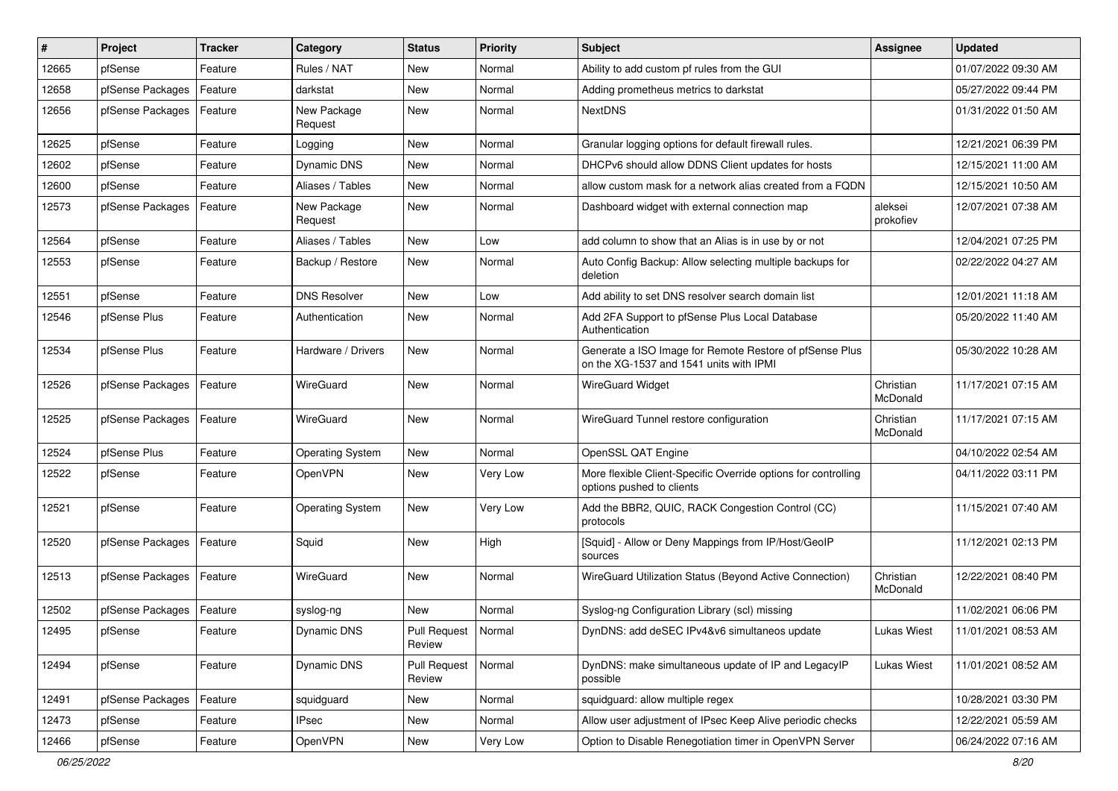| ∦     | Project          | <b>Tracker</b> | Category                | <b>Status</b>                   | <b>Priority</b> | <b>Subject</b>                                                                                     | <b>Assignee</b>       | <b>Updated</b>      |
|-------|------------------|----------------|-------------------------|---------------------------------|-----------------|----------------------------------------------------------------------------------------------------|-----------------------|---------------------|
| 12665 | pfSense          | Feature        | Rules / NAT             | New                             | Normal          | Ability to add custom pf rules from the GUI                                                        |                       | 01/07/2022 09:30 AM |
| 12658 | pfSense Packages | Feature        | darkstat                | New                             | Normal          | Adding prometheus metrics to darkstat                                                              |                       | 05/27/2022 09:44 PM |
| 12656 | pfSense Packages | Feature        | New Package<br>Request  | New                             | Normal          | <b>NextDNS</b>                                                                                     |                       | 01/31/2022 01:50 AM |
| 12625 | pfSense          | Feature        | Logging                 | New                             | Normal          | Granular logging options for default firewall rules.                                               |                       | 12/21/2021 06:39 PM |
| 12602 | pfSense          | Feature        | <b>Dynamic DNS</b>      | New                             | Normal          | DHCPv6 should allow DDNS Client updates for hosts                                                  |                       | 12/15/2021 11:00 AM |
| 12600 | pfSense          | Feature        | Aliases / Tables        | New                             | Normal          | allow custom mask for a network alias created from a FQDN                                          |                       | 12/15/2021 10:50 AM |
| 12573 | pfSense Packages | Feature        | New Package<br>Request  | New                             | Normal          | Dashboard widget with external connection map                                                      | aleksei<br>prokofiev  | 12/07/2021 07:38 AM |
| 12564 | pfSense          | Feature        | Aliases / Tables        | New                             | Low             | add column to show that an Alias is in use by or not                                               |                       | 12/04/2021 07:25 PM |
| 12553 | pfSense          | Feature        | Backup / Restore        | New                             | Normal          | Auto Config Backup: Allow selecting multiple backups for<br>deletion                               |                       | 02/22/2022 04:27 AM |
| 12551 | pfSense          | Feature        | <b>DNS Resolver</b>     | New                             | Low             | Add ability to set DNS resolver search domain list                                                 |                       | 12/01/2021 11:18 AM |
| 12546 | pfSense Plus     | Feature        | Authentication          | New                             | Normal          | Add 2FA Support to pfSense Plus Local Database<br>Authentication                                   |                       | 05/20/2022 11:40 AM |
| 12534 | pfSense Plus     | Feature        | Hardware / Drivers      | New                             | Normal          | Generate a ISO Image for Remote Restore of pfSense Plus<br>on the XG-1537 and 1541 units with IPMI |                       | 05/30/2022 10:28 AM |
| 12526 | pfSense Packages | Feature        | WireGuard               | New                             | Normal          | <b>WireGuard Widget</b>                                                                            | Christian<br>McDonald | 11/17/2021 07:15 AM |
| 12525 | pfSense Packages | Feature        | WireGuard               | New                             | Normal          | WireGuard Tunnel restore configuration                                                             | Christian<br>McDonald | 11/17/2021 07:15 AM |
| 12524 | pfSense Plus     | Feature        | Operating System        | New                             | Normal          | OpenSSL QAT Engine                                                                                 |                       | 04/10/2022 02:54 AM |
| 12522 | pfSense          | Feature        | OpenVPN                 | New                             | Very Low        | More flexible Client-Specific Override options for controlling<br>options pushed to clients        |                       | 04/11/2022 03:11 PM |
| 12521 | pfSense          | Feature        | <b>Operating System</b> | New                             | Very Low        | Add the BBR2, QUIC, RACK Congestion Control (CC)<br>protocols                                      |                       | 11/15/2021 07:40 AM |
| 12520 | pfSense Packages | Feature        | Squid                   | New                             | High            | [Squid] - Allow or Deny Mappings from IP/Host/GeoIP<br>sources                                     |                       | 11/12/2021 02:13 PM |
| 12513 | pfSense Packages | Feature        | WireGuard               | New                             | Normal          | WireGuard Utilization Status (Beyond Active Connection)                                            | Christian<br>McDonald | 12/22/2021 08:40 PM |
| 12502 | pfSense Packages | Feature        | syslog-ng               | New                             | Normal          | Syslog-ng Configuration Library (scl) missing                                                      |                       | 11/02/2021 06:06 PM |
| 12495 | pfSense          | Feature        | Dynamic DNS             | Pull Request   Normal<br>Review |                 | DynDNS: add deSEC IPv4&v6 simultaneos update                                                       | Lukas Wiest           | 11/01/2021 08:53 AM |
| 12494 | pfSense          | Feature        | <b>Dynamic DNS</b>      | <b>Pull Request</b><br>Review   | Normal          | DynDNS: make simultaneous update of IP and LegacyIP<br>possible                                    | <b>Lukas Wiest</b>    | 11/01/2021 08:52 AM |
| 12491 | pfSense Packages | Feature        | squidguard              | New                             | Normal          | squidguard: allow multiple regex                                                                   |                       | 10/28/2021 03:30 PM |
| 12473 | pfSense          | Feature        | <b>IPsec</b>            | New                             | Normal          | Allow user adjustment of IPsec Keep Alive periodic checks                                          |                       | 12/22/2021 05:59 AM |
| 12466 | pfSense          | Feature        | OpenVPN                 | New                             | Very Low        | Option to Disable Renegotiation timer in OpenVPN Server                                            |                       | 06/24/2022 07:16 AM |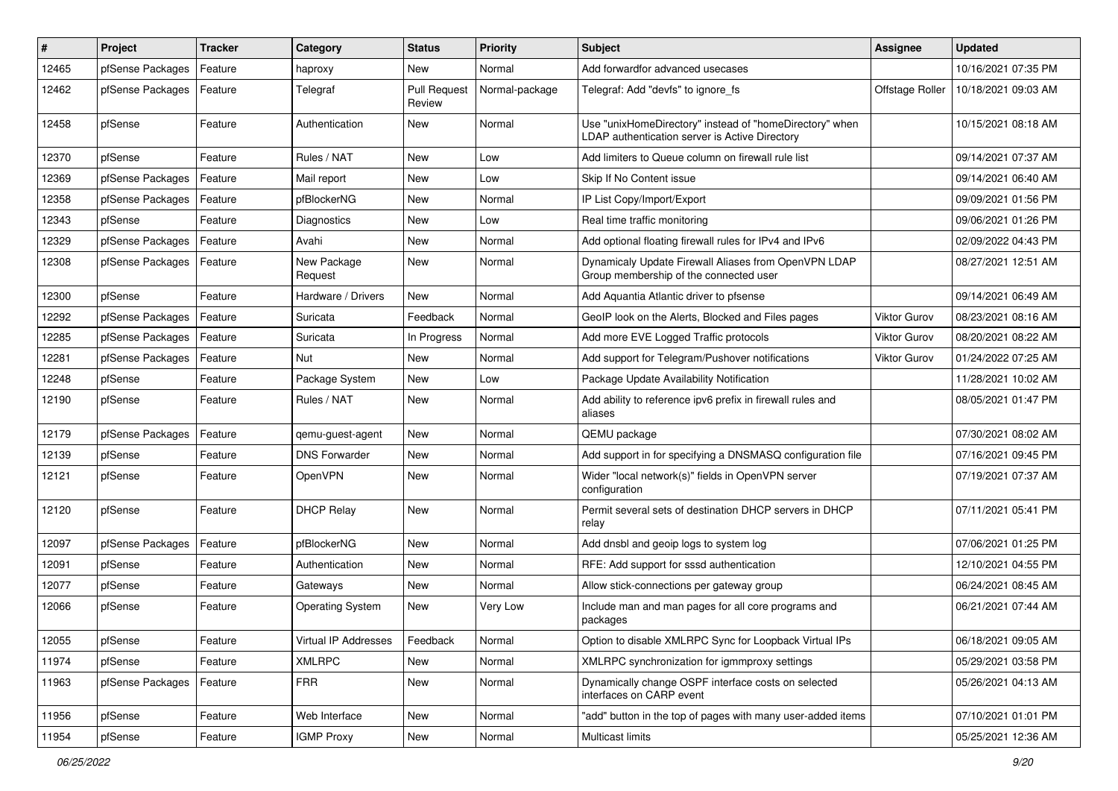| #     | Project          | <b>Tracker</b> | Category                | <b>Status</b>                 | <b>Priority</b> | <b>Subject</b>                                                                                            | Assignee            | <b>Updated</b>      |
|-------|------------------|----------------|-------------------------|-------------------------------|-----------------|-----------------------------------------------------------------------------------------------------------|---------------------|---------------------|
| 12465 | pfSense Packages | Feature        | haproxy                 | New                           | Normal          | Add forwardfor advanced usecases                                                                          |                     | 10/16/2021 07:35 PM |
| 12462 | pfSense Packages | Feature        | Telegraf                | <b>Pull Request</b><br>Review | Normal-package  | Telegraf: Add "devfs" to ignore fs                                                                        | Offstage Roller     | 10/18/2021 09:03 AM |
| 12458 | pfSense          | Feature        | Authentication          | New                           | Normal          | Use "unixHomeDirectory" instead of "homeDirectory" when<br>LDAP authentication server is Active Directory |                     | 10/15/2021 08:18 AM |
| 12370 | pfSense          | Feature        | Rules / NAT             | New                           | Low             | Add limiters to Queue column on firewall rule list                                                        |                     | 09/14/2021 07:37 AM |
| 12369 | pfSense Packages | Feature        | Mail report             | New                           | Low             | Skip If No Content issue                                                                                  |                     | 09/14/2021 06:40 AM |
| 12358 | pfSense Packages | Feature        | pfBlockerNG             | New                           | Normal          | IP List Copy/Import/Export                                                                                |                     | 09/09/2021 01:56 PM |
| 12343 | pfSense          | Feature        | <b>Diagnostics</b>      | New                           | Low             | Real time traffic monitoring                                                                              |                     | 09/06/2021 01:26 PM |
| 12329 | pfSense Packages | Feature        | Avahi                   | New                           | Normal          | Add optional floating firewall rules for IPv4 and IPv6                                                    |                     | 02/09/2022 04:43 PM |
| 12308 | pfSense Packages | Feature        | New Package<br>Request  | New                           | Normal          | Dynamicaly Update Firewall Aliases from OpenVPN LDAP<br>Group membership of the connected user            |                     | 08/27/2021 12:51 AM |
| 12300 | pfSense          | Feature        | Hardware / Drivers      | <b>New</b>                    | Normal          | Add Aquantia Atlantic driver to pfsense                                                                   |                     | 09/14/2021 06:49 AM |
| 12292 | pfSense Packages | Feature        | Suricata                | Feedback                      | Normal          | GeoIP look on the Alerts, Blocked and Files pages                                                         | <b>Viktor Gurov</b> | 08/23/2021 08:16 AM |
| 12285 | pfSense Packages | Feature        | Suricata                | In Progress                   | Normal          | Add more EVE Logged Traffic protocols                                                                     | <b>Viktor Gurov</b> | 08/20/2021 08:22 AM |
| 12281 | pfSense Packages | Feature        | <b>Nut</b>              | New                           | Normal          | Add support for Telegram/Pushover notifications                                                           | Viktor Gurov        | 01/24/2022 07:25 AM |
| 12248 | pfSense          | Feature        | Package System          | New                           | Low             | Package Update Availability Notification                                                                  |                     | 11/28/2021 10:02 AM |
| 12190 | pfSense          | Feature        | Rules / NAT             | New                           | Normal          | Add ability to reference ipv6 prefix in firewall rules and<br>aliases                                     |                     | 08/05/2021 01:47 PM |
| 12179 | pfSense Packages | Feature        | qemu-guest-agent        | New                           | Normal          | QEMU package                                                                                              |                     | 07/30/2021 08:02 AM |
| 12139 | pfSense          | Feature        | <b>DNS Forwarder</b>    | <b>New</b>                    | Normal          | Add support in for specifying a DNSMASQ configuration file                                                |                     | 07/16/2021 09:45 PM |
| 12121 | pfSense          | Feature        | OpenVPN                 | New                           | Normal          | Wider "local network(s)" fields in OpenVPN server<br>configuration                                        |                     | 07/19/2021 07:37 AM |
| 12120 | pfSense          | Feature        | <b>DHCP Relay</b>       | <b>New</b>                    | Normal          | Permit several sets of destination DHCP servers in DHCP<br>relav                                          |                     | 07/11/2021 05:41 PM |
| 12097 | pfSense Packages | Feature        | pfBlockerNG             | <b>New</b>                    | Normal          | Add dnsbl and geoip logs to system log                                                                    |                     | 07/06/2021 01:25 PM |
| 12091 | pfSense          | Feature        | Authentication          | New                           | Normal          | RFE: Add support for sssd authentication                                                                  |                     | 12/10/2021 04:55 PM |
| 12077 | pfSense          | Feature        | Gateways                | New                           | Normal          | Allow stick-connections per gateway group                                                                 |                     | 06/24/2021 08:45 AM |
| 12066 | pfSense          | Feature        | <b>Operating System</b> | New                           | Very Low        | Include man and man pages for all core programs and<br>packages                                           |                     | 06/21/2021 07:44 AM |
| 12055 | pfSense          | Feature        | Virtual IP Addresses    | Feedback                      | Normal          | Option to disable XMLRPC Sync for Loopback Virtual IPs                                                    |                     | 06/18/2021 09:05 AM |
| 11974 | pfSense          | Feature        | <b>XMLRPC</b>           | New                           | Normal          | XMLRPC synchronization for igmmproxy settings                                                             |                     | 05/29/2021 03:58 PM |
| 11963 | pfSense Packages | Feature        | <b>FRR</b>              | New                           | Normal          | Dynamically change OSPF interface costs on selected<br>interfaces on CARP event                           |                     | 05/26/2021 04:13 AM |
| 11956 | pfSense          | Feature        | Web Interface           | New                           | Normal          | "add" button in the top of pages with many user-added items                                               |                     | 07/10/2021 01:01 PM |
| 11954 | pfSense          | Feature        | <b>IGMP Proxy</b>       | New                           | Normal          | Multicast limits                                                                                          |                     | 05/25/2021 12:36 AM |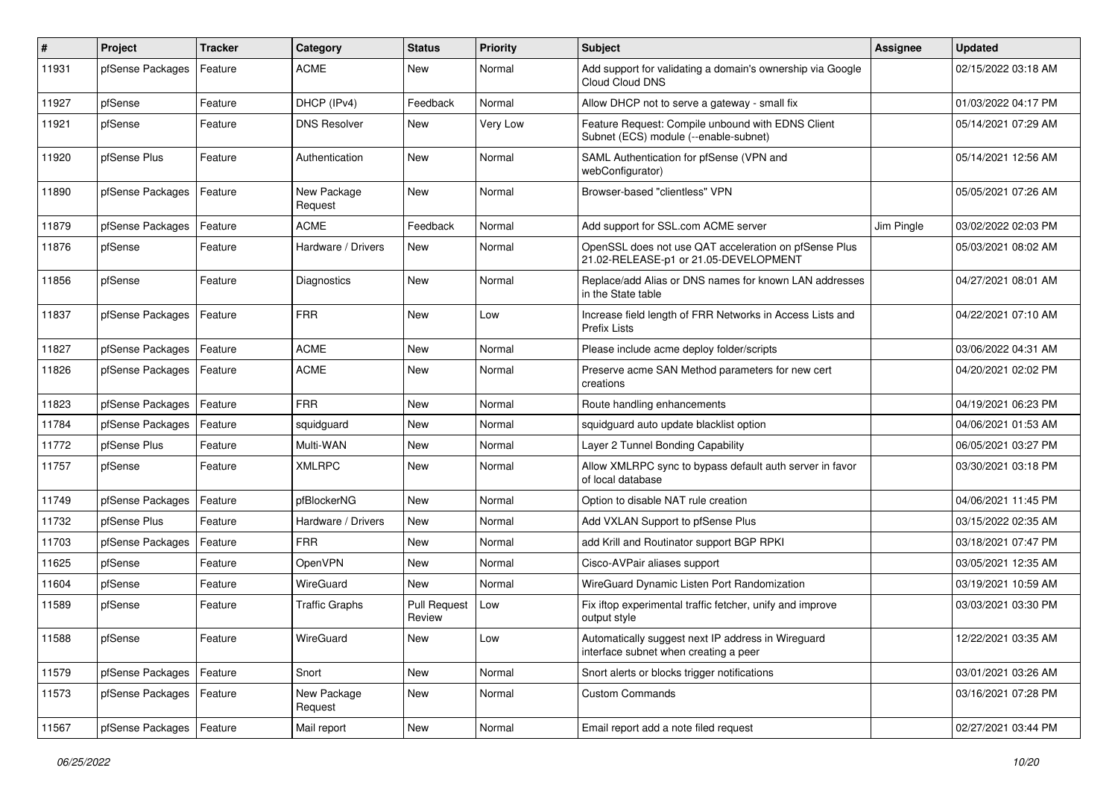| #     | Project          | <b>Tracker</b> | Category               | <b>Status</b>                 | <b>Priority</b> | <b>Subject</b>                                                                                 | Assignee   | <b>Updated</b>      |
|-------|------------------|----------------|------------------------|-------------------------------|-----------------|------------------------------------------------------------------------------------------------|------------|---------------------|
| 11931 | pfSense Packages | Feature        | ACME                   | New                           | Normal          | Add support for validating a domain's ownership via Google<br>Cloud Cloud DNS                  |            | 02/15/2022 03:18 AM |
| 11927 | pfSense          | Feature        | DHCP (IPv4)            | Feedback                      | Normal          | Allow DHCP not to serve a gateway - small fix                                                  |            | 01/03/2022 04:17 PM |
| 11921 | pfSense          | Feature        | <b>DNS Resolver</b>    | New                           | Very Low        | Feature Request: Compile unbound with EDNS Client<br>Subnet (ECS) module (--enable-subnet)     |            | 05/14/2021 07:29 AM |
| 11920 | pfSense Plus     | Feature        | Authentication         | New                           | Normal          | SAML Authentication for pfSense (VPN and<br>webConfigurator)                                   |            | 05/14/2021 12:56 AM |
| 11890 | pfSense Packages | Feature        | New Package<br>Request | New                           | Normal          | Browser-based "clientless" VPN                                                                 |            | 05/05/2021 07:26 AM |
| 11879 | pfSense Packages | Feature        | <b>ACME</b>            | Feedback                      | Normal          | Add support for SSL.com ACME server                                                            | Jim Pingle | 03/02/2022 02:03 PM |
| 11876 | pfSense          | Feature        | Hardware / Drivers     | New                           | Normal          | OpenSSL does not use QAT acceleration on pfSense Plus<br>21.02-RELEASE-p1 or 21.05-DEVELOPMENT |            | 05/03/2021 08:02 AM |
| 11856 | pfSense          | Feature        | Diagnostics            | New                           | Normal          | Replace/add Alias or DNS names for known LAN addresses<br>in the State table                   |            | 04/27/2021 08:01 AM |
| 11837 | pfSense Packages | Feature        | <b>FRR</b>             | New                           | Low             | Increase field length of FRR Networks in Access Lists and<br><b>Prefix Lists</b>               |            | 04/22/2021 07:10 AM |
| 11827 | pfSense Packages | Feature        | <b>ACME</b>            | New                           | Normal          | Please include acme deploy folder/scripts                                                      |            | 03/06/2022 04:31 AM |
| 11826 | pfSense Packages | Feature        | <b>ACME</b>            | New                           | Normal          | Preserve acme SAN Method parameters for new cert<br>creations                                  |            | 04/20/2021 02:02 PM |
| 11823 | pfSense Packages | Feature        | <b>FRR</b>             | New                           | Normal          | Route handling enhancements                                                                    |            | 04/19/2021 06:23 PM |
| 11784 | pfSense Packages | Feature        | squidguard             | New                           | Normal          | squidguard auto update blacklist option                                                        |            | 04/06/2021 01:53 AM |
| 11772 | pfSense Plus     | Feature        | Multi-WAN              | New                           | Normal          | Layer 2 Tunnel Bonding Capability                                                              |            | 06/05/2021 03:27 PM |
| 11757 | pfSense          | Feature        | <b>XMLRPC</b>          | New                           | Normal          | Allow XMLRPC sync to bypass default auth server in favor<br>of local database                  |            | 03/30/2021 03:18 PM |
| 11749 | pfSense Packages | Feature        | pfBlockerNG            | New                           | Normal          | Option to disable NAT rule creation                                                            |            | 04/06/2021 11:45 PM |
| 11732 | pfSense Plus     | Feature        | Hardware / Drivers     | New                           | Normal          | Add VXLAN Support to pfSense Plus                                                              |            | 03/15/2022 02:35 AM |
| 11703 | pfSense Packages | Feature        | <b>FRR</b>             | <b>New</b>                    | Normal          | add Krill and Routinator support BGP RPKI                                                      |            | 03/18/2021 07:47 PM |
| 11625 | pfSense          | Feature        | OpenVPN                | New                           | Normal          | Cisco-AVPair aliases support                                                                   |            | 03/05/2021 12:35 AM |
| 11604 | pfSense          | Feature        | WireGuard              | New                           | Normal          | WireGuard Dynamic Listen Port Randomization                                                    |            | 03/19/2021 10:59 AM |
| 11589 | pfSense          | Feature        | <b>Traffic Graphs</b>  | <b>Pull Request</b><br>Review | Low             | Fix iftop experimental traffic fetcher, unify and improve<br>output style                      |            | 03/03/2021 03:30 PM |
| 11588 | pfSense          | Feature        | WireGuard              | New                           | Low             | Automatically suggest next IP address in Wireguard<br>interface subnet when creating a peer    |            | 12/22/2021 03:35 AM |
| 11579 | pfSense Packages | Feature        | Snort                  | New                           | Normal          | Snort alerts or blocks trigger notifications                                                   |            | 03/01/2021 03:26 AM |
| 11573 | pfSense Packages | Feature        | New Package<br>Request | New                           | Normal          | <b>Custom Commands</b>                                                                         |            | 03/16/2021 07:28 PM |
| 11567 | pfSense Packages | Feature        | Mail report            | New                           | Normal          | Email report add a note filed request                                                          |            | 02/27/2021 03:44 PM |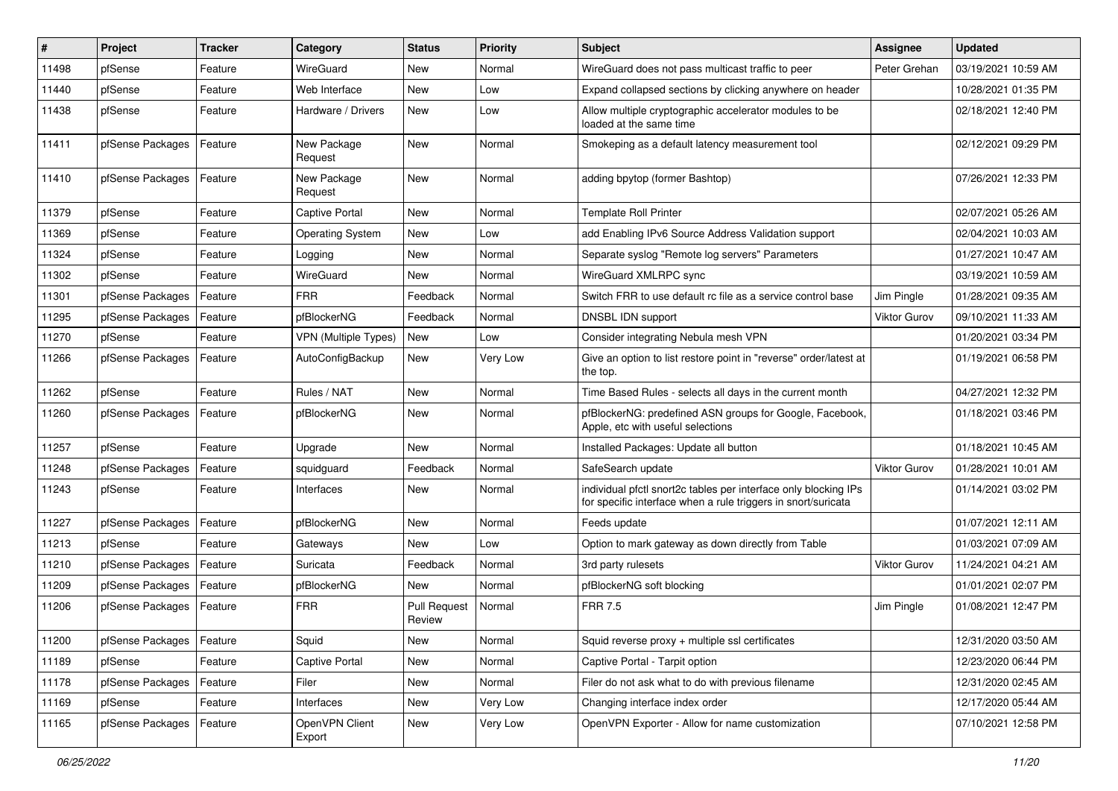| ∦     | <b>Project</b>   | <b>Tracker</b> | Category                    | <b>Status</b>                 | <b>Priority</b> | <b>Subject</b>                                                                                                                   | Assignee            | <b>Updated</b>      |
|-------|------------------|----------------|-----------------------------|-------------------------------|-----------------|----------------------------------------------------------------------------------------------------------------------------------|---------------------|---------------------|
| 11498 | pfSense          | Feature        | WireGuard                   | New                           | Normal          | WireGuard does not pass multicast traffic to peer                                                                                | Peter Grehan        | 03/19/2021 10:59 AM |
| 11440 | pfSense          | Feature        | Web Interface               | New                           | Low             | Expand collapsed sections by clicking anywhere on header                                                                         |                     | 10/28/2021 01:35 PM |
| 11438 | pfSense          | Feature        | Hardware / Drivers          | New                           | Low             | Allow multiple cryptographic accelerator modules to be<br>loaded at the same time                                                |                     | 02/18/2021 12:40 PM |
| 11411 | pfSense Packages | Feature        | New Package<br>Request      | New                           | Normal          | Smokeping as a default latency measurement tool                                                                                  |                     | 02/12/2021 09:29 PM |
| 11410 | pfSense Packages | Feature        | New Package<br>Request      | New                           | Normal          | adding bpytop (former Bashtop)                                                                                                   |                     | 07/26/2021 12:33 PM |
| 11379 | pfSense          | Feature        | Captive Portal              | New                           | Normal          | <b>Template Roll Printer</b>                                                                                                     |                     | 02/07/2021 05:26 AM |
| 11369 | pfSense          | Feature        | <b>Operating System</b>     | New                           | Low             | add Enabling IPv6 Source Address Validation support                                                                              |                     | 02/04/2021 10:03 AM |
| 11324 | pfSense          | Feature        | Logging                     | New                           | Normal          | Separate syslog "Remote log servers" Parameters                                                                                  |                     | 01/27/2021 10:47 AM |
| 11302 | pfSense          | Feature        | WireGuard                   | New                           | Normal          | WireGuard XMLRPC sync                                                                                                            |                     | 03/19/2021 10:59 AM |
| 11301 | pfSense Packages | Feature        | <b>FRR</b>                  | Feedback                      | Normal          | Switch FRR to use default rc file as a service control base                                                                      | Jim Pingle          | 01/28/2021 09:35 AM |
| 11295 | pfSense Packages | Feature        | pfBlockerNG                 | Feedback                      | Normal          | DNSBL IDN support                                                                                                                | <b>Viktor Gurov</b> | 09/10/2021 11:33 AM |
| 11270 | pfSense          | Feature        | <b>VPN (Multiple Types)</b> | <b>New</b>                    | Low             | Consider integrating Nebula mesh VPN                                                                                             |                     | 01/20/2021 03:34 PM |
| 11266 | pfSense Packages | Feature        | AutoConfigBackup            | New                           | Very Low        | Give an option to list restore point in "reverse" order/latest at<br>the top.                                                    |                     | 01/19/2021 06:58 PM |
| 11262 | pfSense          | Feature        | Rules / NAT                 | New                           | Normal          | Time Based Rules - selects all days in the current month                                                                         |                     | 04/27/2021 12:32 PM |
| 11260 | pfSense Packages | Feature        | pfBlockerNG                 | New                           | Normal          | pfBlockerNG: predefined ASN groups for Google, Facebook,<br>Apple, etc with useful selections                                    |                     | 01/18/2021 03:46 PM |
| 11257 | pfSense          | Feature        | Upgrade                     | New                           | Normal          | Installed Packages: Update all button                                                                                            |                     | 01/18/2021 10:45 AM |
| 11248 | pfSense Packages | Feature        | squidguard                  | Feedback                      | Normal          | SafeSearch update                                                                                                                | <b>Viktor Gurov</b> | 01/28/2021 10:01 AM |
| 11243 | pfSense          | Feature        | Interfaces                  | New                           | Normal          | individual pfctl snort2c tables per interface only blocking IPs<br>for specific interface when a rule triggers in snort/suricata |                     | 01/14/2021 03:02 PM |
| 11227 | pfSense Packages | Feature        | pfBlockerNG                 | New                           | Normal          | Feeds update                                                                                                                     |                     | 01/07/2021 12:11 AM |
| 11213 | pfSense          | Feature        | Gateways                    | New                           | Low             | Option to mark gateway as down directly from Table                                                                               |                     | 01/03/2021 07:09 AM |
| 11210 | pfSense Packages | Feature        | Suricata                    | Feedback                      | Normal          | 3rd party rulesets                                                                                                               | Viktor Gurov        | 11/24/2021 04:21 AM |
| 11209 | pfSense Packages | Feature        | pfBlockerNG                 | New                           | Normal          | pfBlockerNG soft blocking                                                                                                        |                     | 01/01/2021 02:07 PM |
| 11206 | pfSense Packages | Feature        | <b>FRR</b>                  | <b>Pull Request</b><br>Review | Normal          | <b>FRR 7.5</b>                                                                                                                   | Jim Pingle          | 01/08/2021 12:47 PM |
| 11200 | pfSense Packages | Feature        | Squid                       | New                           | Normal          | Squid reverse proxy + multiple ssl certificates                                                                                  |                     | 12/31/2020 03:50 AM |
| 11189 | pfSense          | Feature        | <b>Captive Portal</b>       | New                           | Normal          | Captive Portal - Tarpit option                                                                                                   |                     | 12/23/2020 06:44 PM |
| 11178 | pfSense Packages | Feature        | Filer                       | New                           | Normal          | Filer do not ask what to do with previous filename                                                                               |                     | 12/31/2020 02:45 AM |
| 11169 | pfSense          | Feature        | Interfaces                  | New                           | Very Low        | Changing interface index order                                                                                                   |                     | 12/17/2020 05:44 AM |
| 11165 | pfSense Packages | Feature        | OpenVPN Client<br>Export    | New                           | Very Low        | OpenVPN Exporter - Allow for name customization                                                                                  |                     | 07/10/2021 12:58 PM |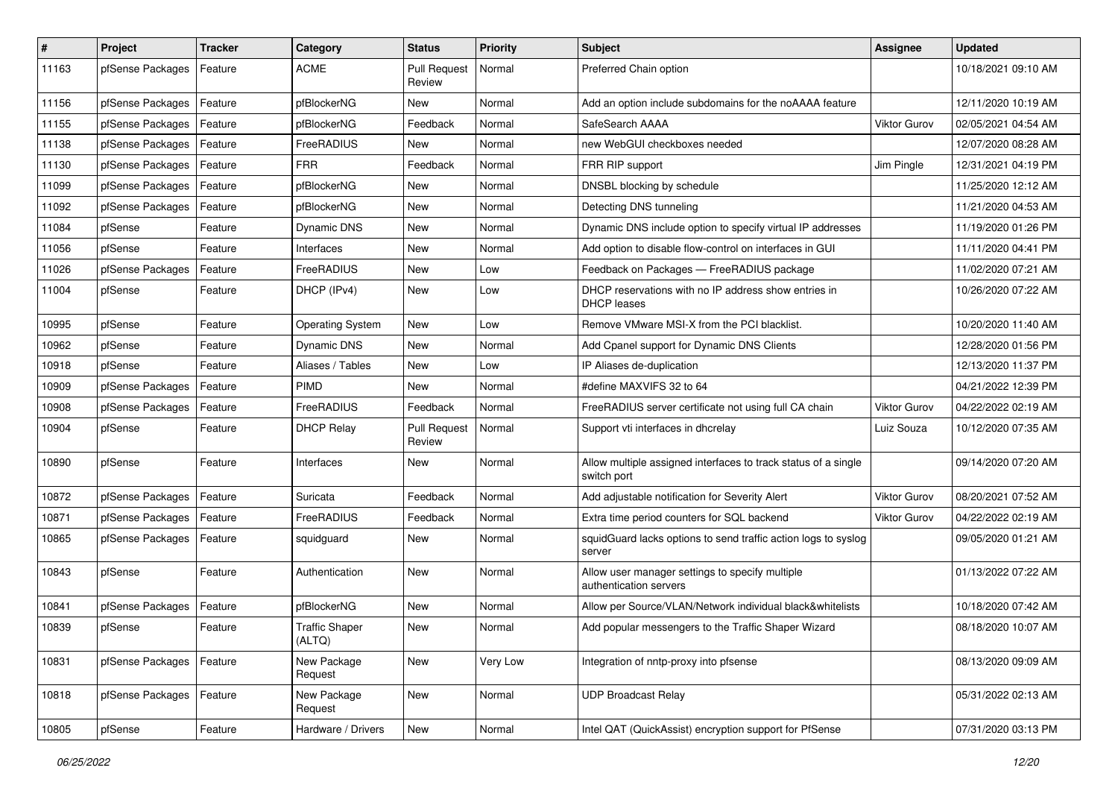| #     | Project          | <b>Tracker</b> | Category                 | <b>Status</b>                 | <b>Priority</b> | <b>Subject</b>                                                                | Assignee            | <b>Updated</b>      |
|-------|------------------|----------------|--------------------------|-------------------------------|-----------------|-------------------------------------------------------------------------------|---------------------|---------------------|
| 11163 | pfSense Packages | Feature        | <b>ACME</b>              | <b>Pull Request</b><br>Review | Normal          | Preferred Chain option                                                        |                     | 10/18/2021 09:10 AM |
| 11156 | pfSense Packages | Feature        | pfBlockerNG              | New                           | Normal          | Add an option include subdomains for the noAAAA feature                       |                     | 12/11/2020 10:19 AM |
| 11155 | pfSense Packages | Feature        | pfBlockerNG              | Feedback                      | Normal          | SafeSearch AAAA                                                               | <b>Viktor Gurov</b> | 02/05/2021 04:54 AM |
| 11138 | pfSense Packages | Feature        | FreeRADIUS               | New                           | Normal          | new WebGUI checkboxes needed                                                  |                     | 12/07/2020 08:28 AM |
| 11130 | pfSense Packages | Feature        | <b>FRR</b>               | Feedback                      | Normal          | FRR RIP support                                                               | Jim Pingle          | 12/31/2021 04:19 PM |
| 11099 | pfSense Packages | Feature        | pfBlockerNG              | New                           | Normal          | DNSBL blocking by schedule                                                    |                     | 11/25/2020 12:12 AM |
| 11092 | pfSense Packages | Feature        | pfBlockerNG              | New                           | Normal          | Detecting DNS tunneling                                                       |                     | 11/21/2020 04:53 AM |
| 11084 | pfSense          | Feature        | Dynamic DNS              | New                           | Normal          | Dynamic DNS include option to specify virtual IP addresses                    |                     | 11/19/2020 01:26 PM |
| 11056 | pfSense          | Feature        | Interfaces               | New                           | Normal          | Add option to disable flow-control on interfaces in GUI                       |                     | 11/11/2020 04:41 PM |
| 11026 | pfSense Packages | Feature        | FreeRADIUS               | New                           | Low             | Feedback on Packages - FreeRADIUS package                                     |                     | 11/02/2020 07:21 AM |
| 11004 | pfSense          | Feature        | DHCP (IPv4)              | New                           | Low             | DHCP reservations with no IP address show entries in<br><b>DHCP</b> leases    |                     | 10/26/2020 07:22 AM |
| 10995 | pfSense          | Feature        | <b>Operating System</b>  | New                           | Low             | Remove VMware MSI-X from the PCI blacklist.                                   |                     | 10/20/2020 11:40 AM |
| 10962 | pfSense          | Feature        | Dynamic DNS              | New                           | Normal          | Add Cpanel support for Dynamic DNS Clients                                    |                     | 12/28/2020 01:56 PM |
| 10918 | pfSense          | Feature        | Aliases / Tables         | New                           | Low             | IP Aliases de-duplication                                                     |                     | 12/13/2020 11:37 PM |
| 10909 | pfSense Packages | Feature        | PIMD                     | New                           | Normal          | #define MAXVIFS 32 to 64                                                      |                     | 04/21/2022 12:39 PM |
| 10908 | pfSense Packages | Feature        | FreeRADIUS               | Feedback                      | Normal          | FreeRADIUS server certificate not using full CA chain                         | <b>Viktor Gurov</b> | 04/22/2022 02:19 AM |
| 10904 | pfSense          | Feature        | <b>DHCP Relay</b>        | <b>Pull Request</b><br>Review | Normal          | Support vti interfaces in dhcrelay                                            | Luiz Souza          | 10/12/2020 07:35 AM |
| 10890 | pfSense          | Feature        | Interfaces               | New                           | Normal          | Allow multiple assigned interfaces to track status of a single<br>switch port |                     | 09/14/2020 07:20 AM |
| 10872 | pfSense Packages | Feature        | Suricata                 | Feedback                      | Normal          | Add adjustable notification for Severity Alert                                | <b>Viktor Gurov</b> | 08/20/2021 07:52 AM |
| 10871 | pfSense Packages | Feature        | FreeRADIUS               | Feedback                      | Normal          | Extra time period counters for SQL backend                                    | <b>Viktor Gurov</b> | 04/22/2022 02:19 AM |
| 10865 | pfSense Packages | Feature        | squidguard               | New                           | Normal          | squidGuard lacks options to send traffic action logs to syslog<br>server      |                     | 09/05/2020 01:21 AM |
| 10843 | pfSense          | Feature        | Authentication           | New                           | Normal          | Allow user manager settings to specify multiple<br>authentication servers     |                     | 01/13/2022 07:22 AM |
| 10841 | pfSense Packages | Feature        | pfBlockerNG              | New                           | Normal          | Allow per Source/VLAN/Network individual black&whitelists                     |                     | 10/18/2020 07:42 AM |
| 10839 | pfSense          | Feature        | Traffic Shaper<br>(ALTQ) | New                           | Normal          | Add popular messengers to the Traffic Shaper Wizard                           |                     | 08/18/2020 10:07 AM |
| 10831 | pfSense Packages | Feature        | New Package<br>Request   | New                           | Very Low        | Integration of nntp-proxy into pfsense                                        |                     | 08/13/2020 09:09 AM |
| 10818 | pfSense Packages | Feature        | New Package<br>Request   | New                           | Normal          | <b>UDP Broadcast Relay</b>                                                    |                     | 05/31/2022 02:13 AM |
| 10805 | pfSense          | Feature        | Hardware / Drivers       | New                           | Normal          | Intel QAT (QuickAssist) encryption support for PfSense                        |                     | 07/31/2020 03:13 PM |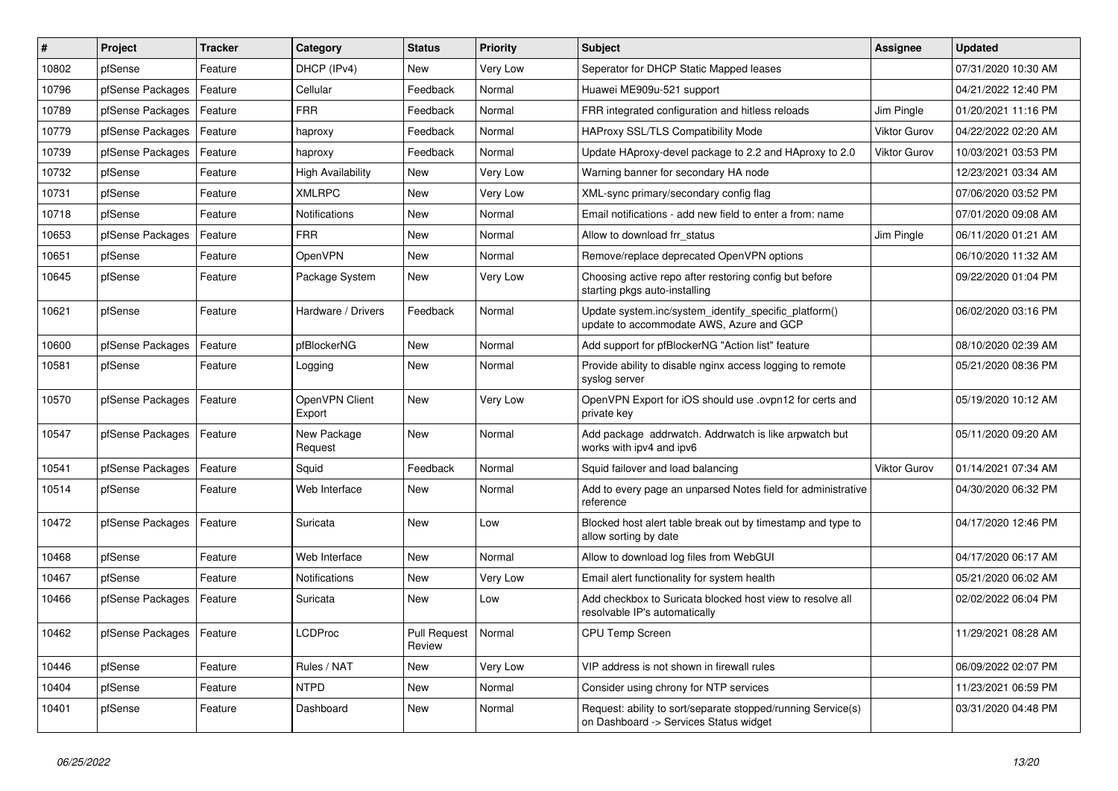| #     | Project          | <b>Tracker</b> | Category                 | <b>Status</b>                 | <b>Priority</b> | <b>Subject</b>                                                                                         | Assignee            | <b>Updated</b>      |
|-------|------------------|----------------|--------------------------|-------------------------------|-----------------|--------------------------------------------------------------------------------------------------------|---------------------|---------------------|
| 10802 | pfSense          | Feature        | DHCP (IPv4)              | New                           | Very Low        | Seperator for DHCP Static Mapped leases                                                                |                     | 07/31/2020 10:30 AM |
| 10796 | pfSense Packages | Feature        | Cellular                 | Feedback                      | Normal          | Huawei ME909u-521 support                                                                              |                     | 04/21/2022 12:40 PM |
| 10789 | pfSense Packages | Feature        | <b>FRR</b>               | Feedback                      | Normal          | FRR integrated configuration and hitless reloads                                                       | Jim Pingle          | 01/20/2021 11:16 PM |
| 10779 | pfSense Packages | Feature        | haproxy                  | Feedback                      | Normal          | <b>HAProxy SSL/TLS Compatibility Mode</b>                                                              | <b>Viktor Gurov</b> | 04/22/2022 02:20 AM |
| 10739 | pfSense Packages | Feature        | haproxy                  | Feedback                      | Normal          | Update HAproxy-devel package to 2.2 and HAproxy to 2.0                                                 | <b>Viktor Gurov</b> | 10/03/2021 03:53 PM |
| 10732 | pfSense          | Feature        | <b>High Availability</b> | <b>New</b>                    | Very Low        | Warning banner for secondary HA node                                                                   |                     | 12/23/2021 03:34 AM |
| 10731 | pfSense          | Feature        | <b>XMLRPC</b>            | New                           | Very Low        | XML-sync primary/secondary config flag                                                                 |                     | 07/06/2020 03:52 PM |
| 10718 | pfSense          | Feature        | <b>Notifications</b>     | <b>New</b>                    | Normal          | Email notifications - add new field to enter a from: name                                              |                     | 07/01/2020 09:08 AM |
| 10653 | pfSense Packages | Feature        | <b>FRR</b>               | <b>New</b>                    | Normal          | Allow to download frr status                                                                           | Jim Pingle          | 06/11/2020 01:21 AM |
| 10651 | pfSense          | Feature        | OpenVPN                  | <b>New</b>                    | Normal          | Remove/replace deprecated OpenVPN options                                                              |                     | 06/10/2020 11:32 AM |
| 10645 | pfSense          | Feature        | Package System           | New                           | Very Low        | Choosing active repo after restoring config but before<br>starting pkgs auto-installing                |                     | 09/22/2020 01:04 PM |
| 10621 | pfSense          | Feature        | Hardware / Drivers       | Feedback                      | Normal          | Update system.inc/system identify specific platform()<br>update to accommodate AWS, Azure and GCP      |                     | 06/02/2020 03:16 PM |
| 10600 | pfSense Packages | Feature        | pfBlockerNG              | New                           | Normal          | Add support for pfBlockerNG "Action list" feature                                                      |                     | 08/10/2020 02:39 AM |
| 10581 | pfSense          | Feature        | Logging                  | New                           | Normal          | Provide ability to disable nginx access logging to remote<br>syslog server                             |                     | 05/21/2020 08:36 PM |
| 10570 | pfSense Packages | Feature        | OpenVPN Client<br>Export | <b>New</b>                    | Very Low        | OpenVPN Export for iOS should use .ovpn12 for certs and<br>private key                                 |                     | 05/19/2020 10:12 AM |
| 10547 | pfSense Packages | Feature        | New Package<br>Request   | New                           | Normal          | Add package addrwatch. Addrwatch is like arpwatch but<br>works with ipv4 and ipv6                      |                     | 05/11/2020 09:20 AM |
| 10541 | pfSense Packages | Feature        | Squid                    | Feedback                      | Normal          | Squid failover and load balancing                                                                      | <b>Viktor Gurov</b> | 01/14/2021 07:34 AM |
| 10514 | pfSense          | Feature        | Web Interface            | <b>New</b>                    | Normal          | Add to every page an unparsed Notes field for administrative<br>reference                              |                     | 04/30/2020 06:32 PM |
| 10472 | pfSense Packages | Feature        | Suricata                 | <b>New</b>                    | Low             | Blocked host alert table break out by timestamp and type to<br>allow sorting by date                   |                     | 04/17/2020 12:46 PM |
| 10468 | pfSense          | Feature        | Web Interface            | New                           | Normal          | Allow to download log files from WebGUI                                                                |                     | 04/17/2020 06:17 AM |
| 10467 | pfSense          | Feature        | Notifications            | New                           | Very Low        | Email alert functionality for system health                                                            |                     | 05/21/2020 06:02 AM |
| 10466 | pfSense Packages | Feature        | Suricata                 | <b>New</b>                    | Low             | Add checkbox to Suricata blocked host view to resolve all<br>resolvable IP's automatically             |                     | 02/02/2022 06:04 PM |
| 10462 | pfSense Packages | Feature        | LCDProc                  | <b>Pull Request</b><br>Review | Normal          | <b>CPU Temp Screen</b>                                                                                 |                     | 11/29/2021 08:28 AM |
| 10446 | pfSense          | Feature        | Rules / NAT              | New                           | Very Low        | VIP address is not shown in firewall rules                                                             |                     | 06/09/2022 02:07 PM |
| 10404 | pfSense          | Feature        | <b>NTPD</b>              | New                           | Normal          | Consider using chrony for NTP services                                                                 |                     | 11/23/2021 06:59 PM |
| 10401 | pfSense          | Feature        | Dashboard                | New                           | Normal          | Request: ability to sort/separate stopped/running Service(s)<br>on Dashboard -> Services Status widget |                     | 03/31/2020 04:48 PM |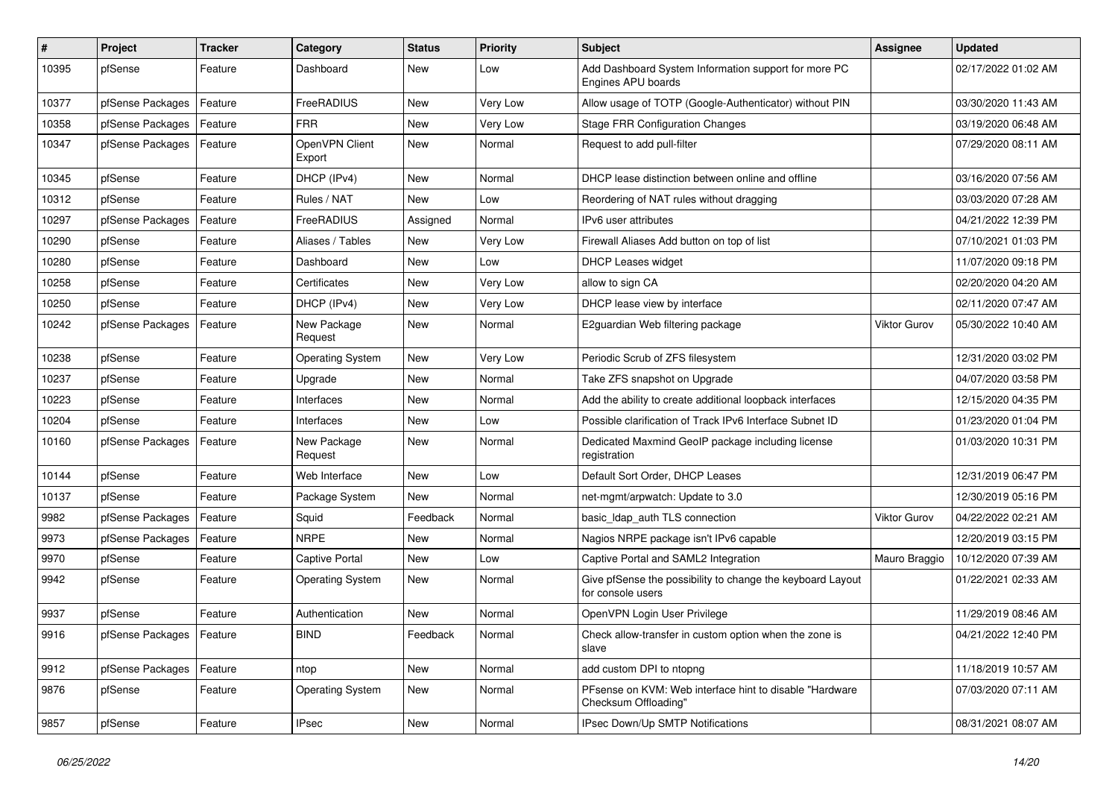| $\pmb{\#}$ | Project                    | <b>Tracker</b> | Category                 | <b>Status</b> | <b>Priority</b> | <b>Subject</b>                                                                  | <b>Assignee</b>     | <b>Updated</b>      |
|------------|----------------------------|----------------|--------------------------|---------------|-----------------|---------------------------------------------------------------------------------|---------------------|---------------------|
| 10395      | pfSense                    | Feature        | Dashboard                | New           | Low             | Add Dashboard System Information support for more PC<br>Engines APU boards      |                     | 02/17/2022 01:02 AM |
| 10377      | pfSense Packages           | Feature        | FreeRADIUS               | New           | Very Low        | Allow usage of TOTP (Google-Authenticator) without PIN                          |                     | 03/30/2020 11:43 AM |
| 10358      | pfSense Packages           | Feature        | <b>FRR</b>               | New           | Very Low        | <b>Stage FRR Configuration Changes</b>                                          |                     | 03/19/2020 06:48 AM |
| 10347      | pfSense Packages           | Feature        | OpenVPN Client<br>Export | New           | Normal          | Request to add pull-filter                                                      |                     | 07/29/2020 08:11 AM |
| 10345      | pfSense                    | Feature        | DHCP (IPv4)              | New           | Normal          | DHCP lease distinction between online and offline                               |                     | 03/16/2020 07:56 AM |
| 10312      | pfSense                    | Feature        | Rules / NAT              | New           | Low             | Reordering of NAT rules without dragging                                        |                     | 03/03/2020 07:28 AM |
| 10297      | pfSense Packages           | Feature        | FreeRADIUS               | Assigned      | Normal          | IPv6 user attributes                                                            |                     | 04/21/2022 12:39 PM |
| 10290      | pfSense                    | Feature        | Aliases / Tables         | New           | Very Low        | Firewall Aliases Add button on top of list                                      |                     | 07/10/2021 01:03 PM |
| 10280      | pfSense                    | Feature        | Dashboard                | New           | Low             | <b>DHCP Leases widget</b>                                                       |                     | 11/07/2020 09:18 PM |
| 10258      | pfSense                    | Feature        | Certificates             | New           | Very Low        | allow to sign CA                                                                |                     | 02/20/2020 04:20 AM |
| 10250      | pfSense                    | Feature        | DHCP (IPv4)              | New           | Very Low        | DHCP lease view by interface                                                    |                     | 02/11/2020 07:47 AM |
| 10242      | pfSense Packages           | Feature        | New Package<br>Request   | New           | Normal          | E2guardian Web filtering package                                                | <b>Viktor Gurov</b> | 05/30/2022 10:40 AM |
| 10238      | pfSense                    | Feature        | <b>Operating System</b>  | New           | Very Low        | Periodic Scrub of ZFS filesystem                                                |                     | 12/31/2020 03:02 PM |
| 10237      | pfSense                    | Feature        | Upgrade                  | New           | Normal          | Take ZFS snapshot on Upgrade                                                    |                     | 04/07/2020 03:58 PM |
| 10223      | pfSense                    | Feature        | Interfaces               | <b>New</b>    | Normal          | Add the ability to create additional loopback interfaces                        |                     | 12/15/2020 04:35 PM |
| 10204      | pfSense                    | Feature        | Interfaces               | New           | Low             | Possible clarification of Track IPv6 Interface Subnet ID                        |                     | 01/23/2020 01:04 PM |
| 10160      | pfSense Packages           | Feature        | New Package<br>Request   | New           | Normal          | Dedicated Maxmind GeoIP package including license<br>registration               |                     | 01/03/2020 10:31 PM |
| 10144      | pfSense                    | Feature        | Web Interface            | New           | Low             | Default Sort Order, DHCP Leases                                                 |                     | 12/31/2019 06:47 PM |
| 10137      | pfSense                    | Feature        | Package System           | New           | Normal          | net-mgmt/arpwatch: Update to 3.0                                                |                     | 12/30/2019 05:16 PM |
| 9982       | pfSense Packages           | Feature        | Squid                    | Feedback      | Normal          | basic_Idap_auth TLS connection                                                  | Viktor Gurov        | 04/22/2022 02:21 AM |
| 9973       | pfSense Packages           | Feature        | <b>NRPE</b>              | New           | Normal          | Nagios NRPE package isn't IPv6 capable                                          |                     | 12/20/2019 03:15 PM |
| 9970       | pfSense                    | Feature        | Captive Portal           | New           | Low             | Captive Portal and SAML2 Integration                                            | Mauro Braggio       | 10/12/2020 07:39 AM |
| 9942       | pfSense                    | Feature        | <b>Operating System</b>  | New           | Normal          | Give pfSense the possibility to change the keyboard Layout<br>for console users |                     | 01/22/2021 02:33 AM |
| 9937       | pfSense                    | Feature        | Authentication           | New           | Normal          | OpenVPN Login User Privilege                                                    |                     | 11/29/2019 08:46 AM |
| 9916       | pfSense Packages   Feature |                | <b>BIND</b>              | Feedback      | Normal          | Check allow-transfer in custom option when the zone is<br>slave                 |                     | 04/21/2022 12:40 PM |
| 9912       | pfSense Packages           | Feature        | ntop                     | New           | Normal          | add custom DPI to ntopng                                                        |                     | 11/18/2019 10:57 AM |
| 9876       | pfSense                    | Feature        | <b>Operating System</b>  | New           | Normal          | PFsense on KVM: Web interface hint to disable "Hardware<br>Checksum Offloading" |                     | 07/03/2020 07:11 AM |
| 9857       | pfSense                    | Feature        | <b>IPsec</b>             | New           | Normal          | IPsec Down/Up SMTP Notifications                                                |                     | 08/31/2021 08:07 AM |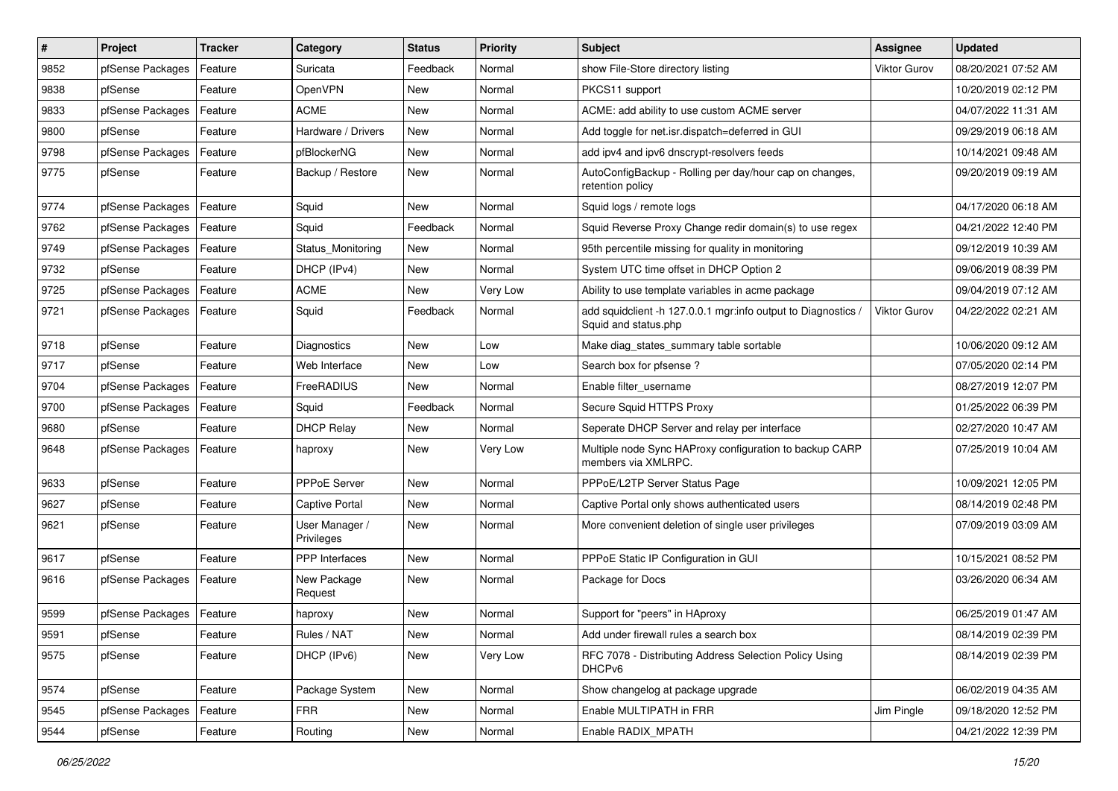| $\sharp$ | Project          | <b>Tracker</b> | Category                     | <b>Status</b> | <b>Priority</b> | <b>Subject</b>                                                                      | <b>Assignee</b>     | <b>Updated</b>      |
|----------|------------------|----------------|------------------------------|---------------|-----------------|-------------------------------------------------------------------------------------|---------------------|---------------------|
| 9852     | pfSense Packages | Feature        | Suricata                     | Feedback      | Normal          | show File-Store directory listing                                                   | <b>Viktor Gurov</b> | 08/20/2021 07:52 AM |
| 9838     | pfSense          | Feature        | OpenVPN                      | New           | Normal          | PKCS11 support                                                                      |                     | 10/20/2019 02:12 PM |
| 9833     | pfSense Packages | Feature        | <b>ACME</b>                  | New           | Normal          | ACME: add ability to use custom ACME server                                         |                     | 04/07/2022 11:31 AM |
| 9800     | pfSense          | Feature        | Hardware / Drivers           | New           | Normal          | Add toggle for net.isr.dispatch=deferred in GUI                                     |                     | 09/29/2019 06:18 AM |
| 9798     | pfSense Packages | Feature        | pfBlockerNG                  | New           | Normal          | add ipv4 and ipv6 dnscrypt-resolvers feeds                                          |                     | 10/14/2021 09:48 AM |
| 9775     | pfSense          | Feature        | Backup / Restore             | New           | Normal          | AutoConfigBackup - Rolling per day/hour cap on changes,<br>retention policy         |                     | 09/20/2019 09:19 AM |
| 9774     | pfSense Packages | Feature        | Squid                        | New           | Normal          | Squid logs / remote logs                                                            |                     | 04/17/2020 06:18 AM |
| 9762     | pfSense Packages | Feature        | Squid                        | Feedback      | Normal          | Squid Reverse Proxy Change redir domain(s) to use regex                             |                     | 04/21/2022 12:40 PM |
| 9749     | pfSense Packages | Feature        | Status Monitoring            | New           | Normal          | 95th percentile missing for quality in monitoring                                   |                     | 09/12/2019 10:39 AM |
| 9732     | pfSense          | Feature        | DHCP (IPv4)                  | New           | Normal          | System UTC time offset in DHCP Option 2                                             |                     | 09/06/2019 08:39 PM |
| 9725     | pfSense Packages | Feature        | <b>ACME</b>                  | New           | Very Low        | Ability to use template variables in acme package                                   |                     | 09/04/2019 07:12 AM |
| 9721     | pfSense Packages | Feature        | Squid                        | Feedback      | Normal          | add squidclient -h 127.0.0.1 mgr:info output to Diagnostics<br>Squid and status.php | <b>Viktor Gurov</b> | 04/22/2022 02:21 AM |
| 9718     | pfSense          | Feature        | <b>Diagnostics</b>           | New           | Low             | Make diag_states_summary table sortable                                             |                     | 10/06/2020 09:12 AM |
| 9717     | pfSense          | Feature        | Web Interface                | New           | Low             | Search box for pfsense?                                                             |                     | 07/05/2020 02:14 PM |
| 9704     | pfSense Packages | Feature        | FreeRADIUS                   | New           | Normal          | Enable filter username                                                              |                     | 08/27/2019 12:07 PM |
| 9700     | pfSense Packages | Feature        | Squid                        | Feedback      | Normal          | Secure Squid HTTPS Proxy                                                            |                     | 01/25/2022 06:39 PM |
| 9680     | pfSense          | Feature        | <b>DHCP Relay</b>            | New           | Normal          | Seperate DHCP Server and relay per interface                                        |                     | 02/27/2020 10:47 AM |
| 9648     | pfSense Packages | Feature        | haproxy                      | New           | Very Low        | Multiple node Sync HAProxy configuration to backup CARP<br>members via XMLRPC.      |                     | 07/25/2019 10:04 AM |
| 9633     | pfSense          | Feature        | PPPoE Server                 | New           | Normal          | PPPoE/L2TP Server Status Page                                                       |                     | 10/09/2021 12:05 PM |
| 9627     | pfSense          | Feature        | Captive Portal               | New           | Normal          | Captive Portal only shows authenticated users                                       |                     | 08/14/2019 02:48 PM |
| 9621     | pfSense          | Feature        | User Manager /<br>Privileges | New           | Normal          | More convenient deletion of single user privileges                                  |                     | 07/09/2019 03:09 AM |
| 9617     | pfSense          | Feature        | PPP Interfaces               | New           | Normal          | PPPoE Static IP Configuration in GUI                                                |                     | 10/15/2021 08:52 PM |
| 9616     | pfSense Packages | Feature        | New Package<br>Request       | New           | Normal          | Package for Docs                                                                    |                     | 03/26/2020 06:34 AM |
| 9599     | pfSense Packages | Feature        | haproxy                      | <b>New</b>    | Normal          | Support for "peers" in HAproxy                                                      |                     | 06/25/2019 01:47 AM |
| 9591     | pfSense          | Feature        | Rules / NAT                  | New           | Normal          | Add under firewall rules a search box                                               |                     | 08/14/2019 02:39 PM |
| 9575     | pfSense          | Feature        | DHCP (IPv6)                  | New           | Very Low        | RFC 7078 - Distributing Address Selection Policy Using<br>DHCP <sub>v6</sub>        |                     | 08/14/2019 02:39 PM |
| 9574     | pfSense          | Feature        | Package System               | New           | Normal          | Show changelog at package upgrade                                                   |                     | 06/02/2019 04:35 AM |
| 9545     | pfSense Packages | Feature        | <b>FRR</b>                   | New           | Normal          | Enable MULTIPATH in FRR                                                             | Jim Pingle          | 09/18/2020 12:52 PM |
| 9544     | pfSense          | Feature        | Routing                      | New           | Normal          | Enable RADIX_MPATH                                                                  |                     | 04/21/2022 12:39 PM |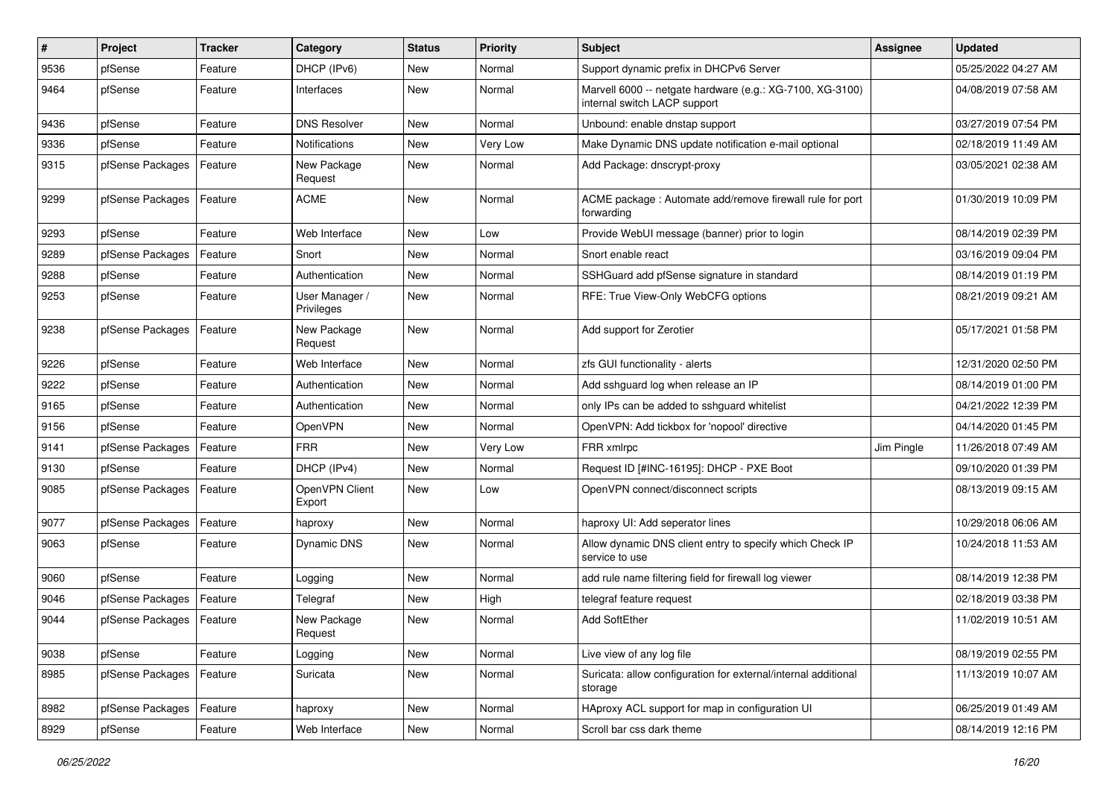| $\sharp$ | Project          | <b>Tracker</b> | Category                     | <b>Status</b> | <b>Priority</b> | <b>Subject</b>                                                                            | <b>Assignee</b> | <b>Updated</b>      |
|----------|------------------|----------------|------------------------------|---------------|-----------------|-------------------------------------------------------------------------------------------|-----------------|---------------------|
| 9536     | pfSense          | Feature        | DHCP (IPv6)                  | New           | Normal          | Support dynamic prefix in DHCPv6 Server                                                   |                 | 05/25/2022 04:27 AM |
| 9464     | pfSense          | Feature        | Interfaces                   | New           | Normal          | Marvell 6000 -- netgate hardware (e.g.: XG-7100, XG-3100)<br>internal switch LACP support |                 | 04/08/2019 07:58 AM |
| 9436     | pfSense          | Feature        | <b>DNS Resolver</b>          | New           | Normal          | Unbound: enable dnstap support                                                            |                 | 03/27/2019 07:54 PM |
| 9336     | pfSense          | Feature        | <b>Notifications</b>         | <b>New</b>    | Very Low        | Make Dynamic DNS update notification e-mail optional                                      |                 | 02/18/2019 11:49 AM |
| 9315     | pfSense Packages | Feature        | New Package<br>Request       | New           | Normal          | Add Package: dnscrypt-proxy                                                               |                 | 03/05/2021 02:38 AM |
| 9299     | pfSense Packages | Feature        | <b>ACME</b>                  | New           | Normal          | ACME package: Automate add/remove firewall rule for port<br>forwarding                    |                 | 01/30/2019 10:09 PM |
| 9293     | pfSense          | Feature        | Web Interface                | New           | Low             | Provide WebUI message (banner) prior to login                                             |                 | 08/14/2019 02:39 PM |
| 9289     | pfSense Packages | Feature        | Snort                        | New           | Normal          | Snort enable react                                                                        |                 | 03/16/2019 09:04 PM |
| 9288     | pfSense          | Feature        | Authentication               | New           | Normal          | SSHGuard add pfSense signature in standard                                                |                 | 08/14/2019 01:19 PM |
| 9253     | pfSense          | Feature        | User Manager /<br>Privileges | New           | Normal          | RFE: True View-Only WebCFG options                                                        |                 | 08/21/2019 09:21 AM |
| 9238     | pfSense Packages | Feature        | New Package<br>Request       | New           | Normal          | Add support for Zerotier                                                                  |                 | 05/17/2021 01:58 PM |
| 9226     | pfSense          | Feature        | Web Interface                | New           | Normal          | zfs GUI functionality - alerts                                                            |                 | 12/31/2020 02:50 PM |
| 9222     | pfSense          | Feature        | Authentication               | New           | Normal          | Add sshguard log when release an IP                                                       |                 | 08/14/2019 01:00 PM |
| 9165     | pfSense          | Feature        | Authentication               | <b>New</b>    | Normal          | only IPs can be added to sshguard whitelist                                               |                 | 04/21/2022 12:39 PM |
| 9156     | pfSense          | Feature        | OpenVPN                      | New           | Normal          | OpenVPN: Add tickbox for 'nopool' directive                                               |                 | 04/14/2020 01:45 PM |
| 9141     | pfSense Packages | Feature        | <b>FRR</b>                   | <b>New</b>    | Very Low        | FRR xmlrpc                                                                                | Jim Pingle      | 11/26/2018 07:49 AM |
| 9130     | pfSense          | Feature        | DHCP (IPv4)                  | New           | Normal          | Request ID [#INC-16195]: DHCP - PXE Boot                                                  |                 | 09/10/2020 01:39 PM |
| 9085     | pfSense Packages | Feature        | OpenVPN Client<br>Export     | New           | Low             | OpenVPN connect/disconnect scripts                                                        |                 | 08/13/2019 09:15 AM |
| 9077     | pfSense Packages | Feature        | haproxy                      | New           | Normal          | haproxy UI: Add seperator lines                                                           |                 | 10/29/2018 06:06 AM |
| 9063     | pfSense          | Feature        | Dynamic DNS                  | New           | Normal          | Allow dynamic DNS client entry to specify which Check IP<br>service to use                |                 | 10/24/2018 11:53 AM |
| 9060     | pfSense          | Feature        | Logging                      | New           | Normal          | add rule name filtering field for firewall log viewer                                     |                 | 08/14/2019 12:38 PM |
| 9046     | pfSense Packages | Feature        | Telegraf                     | <b>New</b>    | High            | telegraf feature request                                                                  |                 | 02/18/2019 03:38 PM |
| 9044     | pfSense Packages | Feature        | New Package<br>Request       | New           | Normal          | <b>Add SoftEther</b>                                                                      |                 | 11/02/2019 10:51 AM |
| 9038     | pfSense          | Feature        | Logging                      | New           | Normal          | Live view of any log file                                                                 |                 | 08/19/2019 02:55 PM |
| 8985     | pfSense Packages | Feature        | Suricata                     | New           | Normal          | Suricata: allow configuration for external/internal additional<br>storage                 |                 | 11/13/2019 10:07 AM |
| 8982     | pfSense Packages | Feature        | haproxy                      | New           | Normal          | HAproxy ACL support for map in configuration UI                                           |                 | 06/25/2019 01:49 AM |
| 8929     | pfSense          | Feature        | Web Interface                | New           | Normal          | Scroll bar css dark theme                                                                 |                 | 08/14/2019 12:16 PM |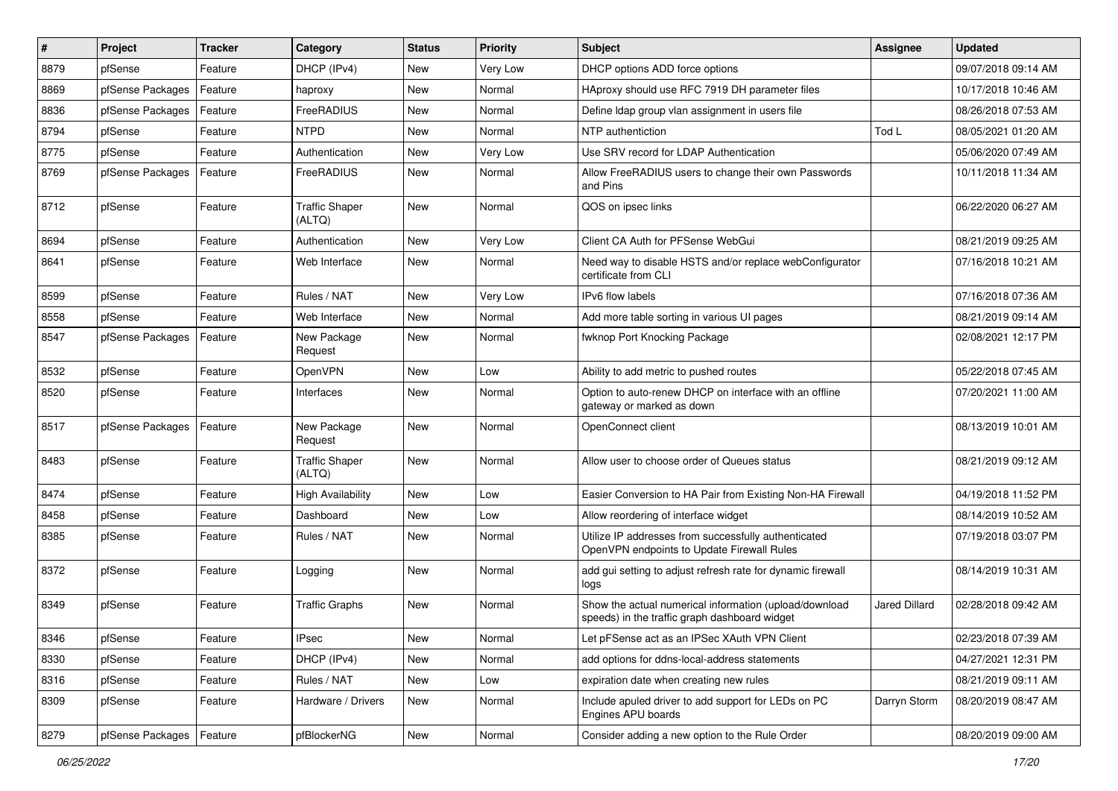| $\sharp$ | Project          | <b>Tracker</b> | Category                        | <b>Status</b> | <b>Priority</b> | <b>Subject</b>                                                                                          | <b>Assignee</b>      | <b>Updated</b>      |
|----------|------------------|----------------|---------------------------------|---------------|-----------------|---------------------------------------------------------------------------------------------------------|----------------------|---------------------|
| 8879     | pfSense          | Feature        | DHCP (IPv4)                     | New           | Very Low        | DHCP options ADD force options                                                                          |                      | 09/07/2018 09:14 AM |
| 8869     | pfSense Packages | Feature        | haproxy                         | New           | Normal          | HAproxy should use RFC 7919 DH parameter files                                                          |                      | 10/17/2018 10:46 AM |
| 8836     | pfSense Packages | Feature        | FreeRADIUS                      | New           | Normal          | Define Idap group vlan assignment in users file                                                         |                      | 08/26/2018 07:53 AM |
| 8794     | pfSense          | Feature        | <b>NTPD</b>                     | New           | Normal          | NTP authentiction                                                                                       | Tod L                | 08/05/2021 01:20 AM |
| 8775     | pfSense          | Feature        | Authentication                  | New           | Very Low        | Use SRV record for LDAP Authentication                                                                  |                      | 05/06/2020 07:49 AM |
| 8769     | pfSense Packages | Feature        | FreeRADIUS                      | New           | Normal          | Allow FreeRADIUS users to change their own Passwords<br>and Pins                                        |                      | 10/11/2018 11:34 AM |
| 8712     | pfSense          | Feature        | <b>Traffic Shaper</b><br>(ALTQ) | New           | Normal          | QOS on ipsec links                                                                                      |                      | 06/22/2020 06:27 AM |
| 8694     | pfSense          | Feature        | Authentication                  | New           | Very Low        | Client CA Auth for PFSense WebGui                                                                       |                      | 08/21/2019 09:25 AM |
| 8641     | pfSense          | Feature        | Web Interface                   | New           | Normal          | Need way to disable HSTS and/or replace webConfigurator<br>certificate from CLI                         |                      | 07/16/2018 10:21 AM |
| 8599     | pfSense          | Feature        | Rules / NAT                     | New           | Very Low        | IPv6 flow labels                                                                                        |                      | 07/16/2018 07:36 AM |
| 8558     | pfSense          | Feature        | Web Interface                   | New           | Normal          | Add more table sorting in various UI pages                                                              |                      | 08/21/2019 09:14 AM |
| 8547     | pfSense Packages | Feature        | New Package<br>Request          | New           | Normal          | fwknop Port Knocking Package                                                                            |                      | 02/08/2021 12:17 PM |
| 8532     | pfSense          | Feature        | <b>OpenVPN</b>                  | New           | Low             | Ability to add metric to pushed routes                                                                  |                      | 05/22/2018 07:45 AM |
| 8520     | pfSense          | Feature        | Interfaces                      | New           | Normal          | Option to auto-renew DHCP on interface with an offline<br>gateway or marked as down                     |                      | 07/20/2021 11:00 AM |
| 8517     | pfSense Packages | Feature        | New Package<br>Request          | New           | Normal          | OpenConnect client                                                                                      |                      | 08/13/2019 10:01 AM |
| 8483     | pfSense          | Feature        | <b>Traffic Shaper</b><br>(ALTQ) | New           | Normal          | Allow user to choose order of Queues status                                                             |                      | 08/21/2019 09:12 AM |
| 8474     | pfSense          | Feature        | <b>High Availability</b>        | New           | Low             | Easier Conversion to HA Pair from Existing Non-HA Firewall                                              |                      | 04/19/2018 11:52 PM |
| 8458     | pfSense          | Feature        | Dashboard                       | New           | Low             | Allow reordering of interface widget                                                                    |                      | 08/14/2019 10:52 AM |
| 8385     | pfSense          | Feature        | Rules / NAT                     | New           | Normal          | Utilize IP addresses from successfully authenticated<br>OpenVPN endpoints to Update Firewall Rules      |                      | 07/19/2018 03:07 PM |
| 8372     | pfSense          | Feature        | Logging                         | New           | Normal          | add gui setting to adjust refresh rate for dynamic firewall<br>logs                                     |                      | 08/14/2019 10:31 AM |
| 8349     | pfSense          | Feature        | <b>Traffic Graphs</b>           | New           | Normal          | Show the actual numerical information (upload/download<br>speeds) in the traffic graph dashboard widget | <b>Jared Dillard</b> | 02/28/2018 09:42 AM |
| 8346     | pfSense          | Feature        | <b>IPsec</b>                    | New           | Normal          | Let pFSense act as an IPSec XAuth VPN Client                                                            |                      | 02/23/2018 07:39 AM |
| 8330     | pfSense          | Feature        | DHCP (IPv4)                     | New           | Normal          | add options for ddns-local-address statements                                                           |                      | 04/27/2021 12:31 PM |
| 8316     | pfSense          | Feature        | Rules / NAT                     | New           | Low             | expiration date when creating new rules                                                                 |                      | 08/21/2019 09:11 AM |
| 8309     | pfSense          | Feature        | Hardware / Drivers              | New           | Normal          | Include apuled driver to add support for LEDs on PC<br>Engines APU boards                               | Darryn Storm         | 08/20/2019 08:47 AM |
| 8279     | pfSense Packages | Feature        | pfBlockerNG                     | New           | Normal          | Consider adding a new option to the Rule Order                                                          |                      | 08/20/2019 09:00 AM |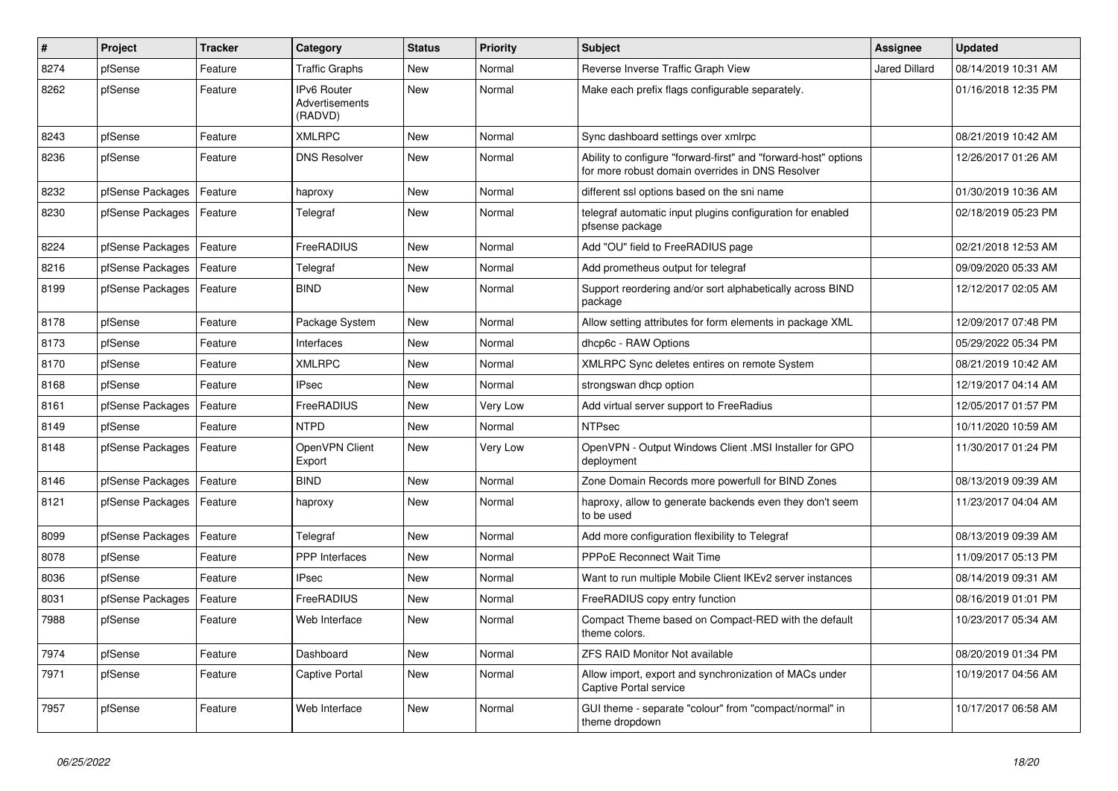| $\pmb{\#}$ | Project          | <b>Tracker</b> | Category                                        | <b>Status</b> | <b>Priority</b> | <b>Subject</b>                                                                                                      | <b>Assignee</b>      | <b>Updated</b>      |
|------------|------------------|----------------|-------------------------------------------------|---------------|-----------------|---------------------------------------------------------------------------------------------------------------------|----------------------|---------------------|
| 8274       | pfSense          | Feature        | <b>Traffic Graphs</b>                           | New           | Normal          | Reverse Inverse Traffic Graph View                                                                                  | <b>Jared Dillard</b> | 08/14/2019 10:31 AM |
| 8262       | pfSense          | Feature        | <b>IPv6 Router</b><br>Advertisements<br>(RADVD) | <b>New</b>    | Normal          | Make each prefix flags configurable separately.                                                                     |                      | 01/16/2018 12:35 PM |
| 8243       | pfSense          | Feature        | <b>XMLRPC</b>                                   | New           | Normal          | Sync dashboard settings over xmlrpc                                                                                 |                      | 08/21/2019 10:42 AM |
| 8236       | pfSense          | Feature        | <b>DNS Resolver</b>                             | New           | Normal          | Ability to configure "forward-first" and "forward-host" options<br>for more robust domain overrides in DNS Resolver |                      | 12/26/2017 01:26 AM |
| 8232       | pfSense Packages | Feature        | haproxy                                         | <b>New</b>    | Normal          | different ssl options based on the sni name                                                                         |                      | 01/30/2019 10:36 AM |
| 8230       | pfSense Packages | Feature        | Telegraf                                        | New           | Normal          | telegraf automatic input plugins configuration for enabled<br>pfsense package                                       |                      | 02/18/2019 05:23 PM |
| 8224       | pfSense Packages | Feature        | FreeRADIUS                                      | New           | Normal          | Add "OU" field to FreeRADIUS page                                                                                   |                      | 02/21/2018 12:53 AM |
| 8216       | pfSense Packages | Feature        | Telegraf                                        | New           | Normal          | Add prometheus output for telegraf                                                                                  |                      | 09/09/2020 05:33 AM |
| 8199       | pfSense Packages | Feature        | <b>BIND</b>                                     | New           | Normal          | Support reordering and/or sort alphabetically across BIND<br>package                                                |                      | 12/12/2017 02:05 AM |
| 8178       | pfSense          | Feature        | Package System                                  | <b>New</b>    | Normal          | Allow setting attributes for form elements in package XML                                                           |                      | 12/09/2017 07:48 PM |
| 8173       | pfSense          | Feature        | Interfaces                                      | New           | Normal          | dhcp6c - RAW Options                                                                                                |                      | 05/29/2022 05:34 PM |
| 8170       | pfSense          | Feature        | <b>XMLRPC</b>                                   | <b>New</b>    | Normal          | XMLRPC Sync deletes entires on remote System                                                                        |                      | 08/21/2019 10:42 AM |
| 8168       | pfSense          | Feature        | <b>IPsec</b>                                    | New           | Normal          | strongswan dhcp option                                                                                              |                      | 12/19/2017 04:14 AM |
| 8161       | pfSense Packages | Feature        | FreeRADIUS                                      | New           | Very Low        | Add virtual server support to FreeRadius                                                                            |                      | 12/05/2017 01:57 PM |
| 8149       | pfSense          | Feature        | <b>NTPD</b>                                     | New           | Normal          | <b>NTPsec</b>                                                                                                       |                      | 10/11/2020 10:59 AM |
| 8148       | pfSense Packages | Feature        | OpenVPN Client<br>Export                        | New           | Very Low        | OpenVPN - Output Windows Client .MSI Installer for GPO<br>deployment                                                |                      | 11/30/2017 01:24 PM |
| 8146       | pfSense Packages | Feature        | <b>BIND</b>                                     | New           | Normal          | Zone Domain Records more powerfull for BIND Zones                                                                   |                      | 08/13/2019 09:39 AM |
| 8121       | pfSense Packages | Feature        | haproxy                                         | New           | Normal          | haproxy, allow to generate backends even they don't seem<br>to be used                                              |                      | 11/23/2017 04:04 AM |
| 8099       | pfSense Packages | Feature        | Telegraf                                        | <b>New</b>    | Normal          | Add more configuration flexibility to Telegraf                                                                      |                      | 08/13/2019 09:39 AM |
| 8078       | pfSense          | Feature        | <b>PPP</b> Interfaces                           | New           | Normal          | <b>PPPoE Reconnect Wait Time</b>                                                                                    |                      | 11/09/2017 05:13 PM |
| 8036       | pfSense          | Feature        | <b>IPsec</b>                                    | <b>New</b>    | Normal          | Want to run multiple Mobile Client IKEv2 server instances                                                           |                      | 08/14/2019 09:31 AM |
| 8031       | pfSense Packages | Feature        | FreeRADIUS                                      | New           | Normal          | FreeRADIUS copy entry function                                                                                      |                      | 08/16/2019 01:01 PM |
| 7988       | pfSense          | Feature        | Web Interface                                   | New           | Normal          | Compact Theme based on Compact-RED with the default<br>theme colors.                                                |                      | 10/23/2017 05:34 AM |
| 7974       | pfSense          | Feature        | Dashboard                                       | New           | Normal          | <b>ZFS RAID Monitor Not available</b>                                                                               |                      | 08/20/2019 01:34 PM |
| 7971       | pfSense          | Feature        | Captive Portal                                  | New           | Normal          | Allow import, export and synchronization of MACs under<br>Captive Portal service                                    |                      | 10/19/2017 04:56 AM |
| 7957       | pfSense          | Feature        | Web Interface                                   | New           | Normal          | GUI theme - separate "colour" from "compact/normal" in<br>theme dropdown                                            |                      | 10/17/2017 06:58 AM |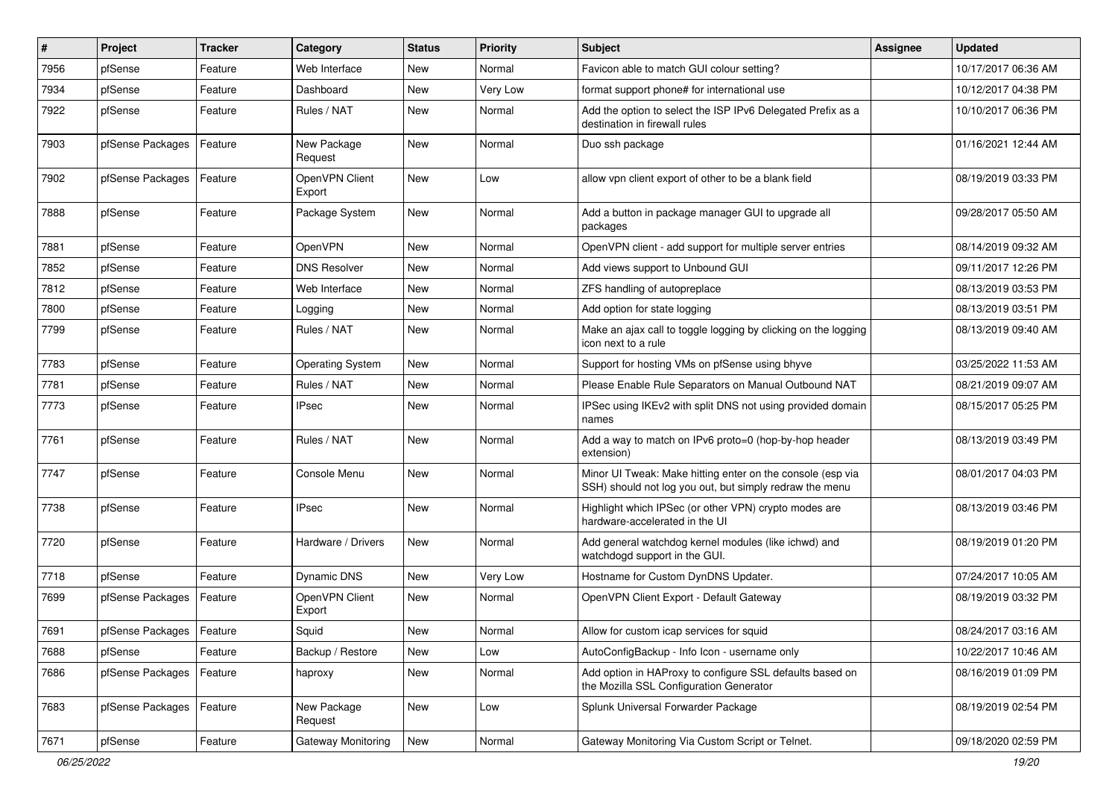| #    | Project                    | <b>Tracker</b> | Category                 | <b>Status</b> | <b>Priority</b> | <b>Subject</b>                                                                                                        | <b>Assignee</b> | <b>Updated</b>      |
|------|----------------------------|----------------|--------------------------|---------------|-----------------|-----------------------------------------------------------------------------------------------------------------------|-----------------|---------------------|
| 7956 | pfSense                    | Feature        | Web Interface            | New           | Normal          | Favicon able to match GUI colour setting?                                                                             |                 | 10/17/2017 06:36 AM |
| 7934 | pfSense                    | Feature        | Dashboard                | New           | Very Low        | format support phone# for international use                                                                           |                 | 10/12/2017 04:38 PM |
| 7922 | pfSense                    | Feature        | Rules / NAT              | New           | Normal          | Add the option to select the ISP IPv6 Delegated Prefix as a<br>destination in firewall rules                          |                 | 10/10/2017 06:36 PM |
| 7903 | pfSense Packages           | Feature        | New Package<br>Request   | New           | Normal          | Duo ssh package                                                                                                       |                 | 01/16/2021 12:44 AM |
| 7902 | pfSense Packages           | Feature        | OpenVPN Client<br>Export | New           | Low             | allow vpn client export of other to be a blank field                                                                  |                 | 08/19/2019 03:33 PM |
| 7888 | pfSense                    | Feature        | Package System           | New           | Normal          | Add a button in package manager GUI to upgrade all<br>packages                                                        |                 | 09/28/2017 05:50 AM |
| 7881 | pfSense                    | Feature        | OpenVPN                  | New           | Normal          | OpenVPN client - add support for multiple server entries                                                              |                 | 08/14/2019 09:32 AM |
| 7852 | pfSense                    | Feature        | DNS Resolver             | New           | Normal          | Add views support to Unbound GUI                                                                                      |                 | 09/11/2017 12:26 PM |
| 7812 | pfSense                    | Feature        | Web Interface            | New           | Normal          | ZFS handling of autopreplace                                                                                          |                 | 08/13/2019 03:53 PM |
| 7800 | pfSense                    | Feature        | Logging                  | New           | Normal          | Add option for state logging                                                                                          |                 | 08/13/2019 03:51 PM |
| 7799 | pfSense                    | Feature        | Rules / NAT              | New           | Normal          | Make an ajax call to toggle logging by clicking on the logging<br>icon next to a rule                                 |                 | 08/13/2019 09:40 AM |
| 7783 | pfSense                    | Feature        | <b>Operating System</b>  | New           | Normal          | Support for hosting VMs on pfSense using bhyve                                                                        |                 | 03/25/2022 11:53 AM |
| 7781 | pfSense                    | Feature        | Rules / NAT              | New           | Normal          | Please Enable Rule Separators on Manual Outbound NAT                                                                  |                 | 08/21/2019 09:07 AM |
| 7773 | pfSense                    | Feature        | <b>IPsec</b>             | New           | Normal          | IPSec using IKEv2 with split DNS not using provided domain<br>names                                                   |                 | 08/15/2017 05:25 PM |
| 7761 | pfSense                    | Feature        | Rules / NAT              | <b>New</b>    | Normal          | Add a way to match on IPv6 proto=0 (hop-by-hop header<br>extension)                                                   |                 | 08/13/2019 03:49 PM |
| 7747 | pfSense                    | Feature        | Console Menu             | New           | Normal          | Minor UI Tweak: Make hitting enter on the console (esp via<br>SSH) should not log you out, but simply redraw the menu |                 | 08/01/2017 04:03 PM |
| 7738 | pfSense                    | Feature        | IPsec                    | New           | Normal          | Highlight which IPSec (or other VPN) crypto modes are<br>hardware-accelerated in the UI                               |                 | 08/13/2019 03:46 PM |
| 7720 | pfSense                    | Feature        | Hardware / Drivers       | New           | Normal          | Add general watchdog kernel modules (like ichwd) and<br>watchdogd support in the GUI.                                 |                 | 08/19/2019 01:20 PM |
| 7718 | pfSense                    | Feature        | Dynamic DNS              | New           | Very Low        | Hostname for Custom DynDNS Updater.                                                                                   |                 | 07/24/2017 10:05 AM |
| 7699 | pfSense Packages           | Feature        | OpenVPN Client<br>Export | New           | Normal          | OpenVPN Client Export - Default Gateway                                                                               |                 | 08/19/2019 03:32 PM |
| 7691 | pfSense Packages   Feature |                | Squid                    | New           | Normal          | Allow for custom icap services for squid                                                                              |                 | 08/24/2017 03:16 AM |
| 7688 | pfSense                    | Feature        | Backup / Restore         | New           | Low             | AutoConfigBackup - Info Icon - username only                                                                          |                 | 10/22/2017 10:46 AM |
| 7686 | pfSense Packages           | Feature        | haproxy                  | New           | Normal          | Add option in HAProxy to configure SSL defaults based on<br>the Mozilla SSL Configuration Generator                   |                 | 08/16/2019 01:09 PM |
| 7683 | pfSense Packages           | Feature        | New Package<br>Request   | New           | Low             | Splunk Universal Forwarder Package                                                                                    |                 | 08/19/2019 02:54 PM |
| 7671 | pfSense                    | Feature        | Gateway Monitoring       | New           | Normal          | Gateway Monitoring Via Custom Script or Telnet.                                                                       |                 | 09/18/2020 02:59 PM |